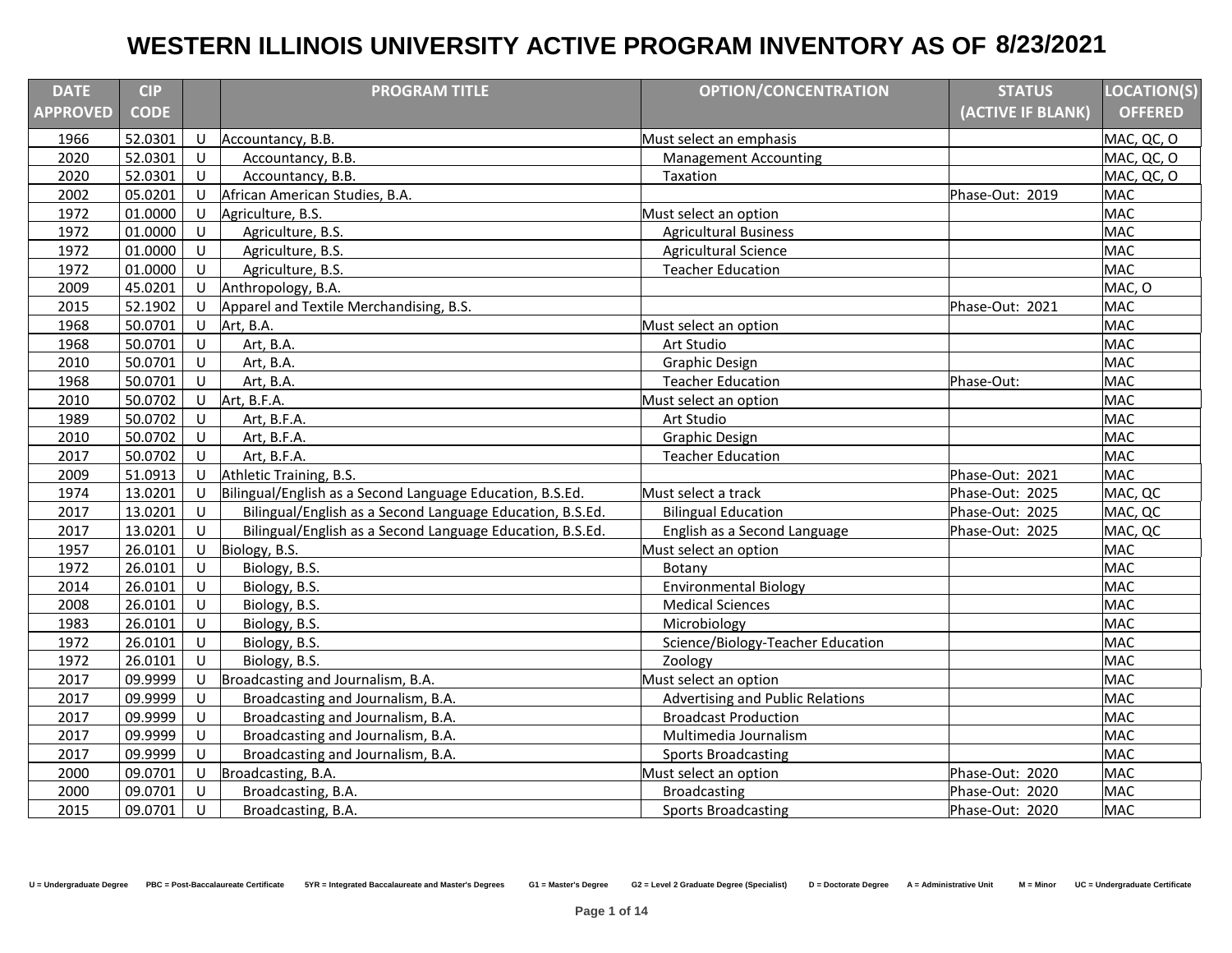| <b>DATE</b>     | <b>CIP</b>  |              | <b>PROGRAM TITLE</b>                                      | <b>OPTION/CONCENTRATION</b>       | <b>STATUS</b>     | <b>LOCATION(S)</b> |
|-----------------|-------------|--------------|-----------------------------------------------------------|-----------------------------------|-------------------|--------------------|
| <b>APPROVED</b> | <b>CODE</b> |              |                                                           |                                   | (ACTIVE IF BLANK) | <b>OFFERED</b>     |
| 1966            | 52.0301     | U            | Accountancy, B.B.                                         | Must select an emphasis           |                   | MAC, QC, O         |
| 2020            | 52.0301     | U            | Accountancy, B.B.                                         | <b>Management Accounting</b>      |                   | MAC, QC, O         |
| 2020            | 52.0301     | U            | Accountancy, B.B.                                         | Taxation                          |                   | MAC, QC, O         |
| 2002            | 05.0201     | U            | African American Studies, B.A.                            |                                   | Phase-Out: 2019   | <b>MAC</b>         |
| 1972            | 01.0000     | U            | Agriculture, B.S.                                         | Must select an option             |                   | <b>MAC</b>         |
| 1972            | 01.0000     | U            | Agriculture, B.S.                                         | <b>Agricultural Business</b>      |                   | <b>MAC</b>         |
| 1972            | 01.0000     | U            | Agriculture, B.S.                                         | <b>Agricultural Science</b>       |                   | <b>MAC</b>         |
| 1972            | 01.0000     | U            | Agriculture, B.S.                                         | <b>Teacher Education</b>          |                   | <b>MAC</b>         |
| 2009            | 45.0201     | U            | Anthropology, B.A.                                        |                                   |                   | MAC, O             |
| 2015            | 52.1902     | U            | Apparel and Textile Merchandising, B.S.                   |                                   | Phase-Out: 2021   | <b>MAC</b>         |
| 1968            | 50.0701     | U            | Art, B.A.                                                 | Must select an option             |                   | <b>MAC</b>         |
| 1968            | 50.0701     | U            | Art, B.A.                                                 | Art Studio                        |                   | <b>MAC</b>         |
| 2010            | 50.0701     | $\cup$       | Art, B.A.                                                 | <b>Graphic Design</b>             |                   | <b>MAC</b>         |
| 1968            | 50.0701     | $\cup$       | Art, B.A.                                                 | <b>Teacher Education</b>          | Phase-Out:        | <b>MAC</b>         |
| 2010            | 50.0702     | $\cup$       | Art, B.F.A.                                               | Must select an option             |                   | <b>MAC</b>         |
| 1989            | 50.0702     | $\mathbf{U}$ | Art, B.F.A.                                               | Art Studio                        |                   | <b>MAC</b>         |
| 2010            | 50.0702     | U            | Art, B.F.A.                                               | <b>Graphic Design</b>             |                   | <b>MAC</b>         |
| 2017            | 50.0702     | U            | Art, B.F.A.                                               | <b>Teacher Education</b>          |                   | <b>MAC</b>         |
| 2009            | 51.0913     | U            | Athletic Training, B.S.                                   |                                   | Phase-Out: 2021   | <b>MAC</b>         |
| 1974            | 13.0201     | U            | Bilingual/English as a Second Language Education, B.S.Ed. | Must select a track               | Phase-Out: 2025   | MAC, QC            |
| 2017            | 13.0201     | U            | Bilingual/English as a Second Language Education, B.S.Ed. | <b>Bilingual Education</b>        | Phase-Out: 2025   | MAC, QC            |
| 2017            | 13.0201     | U            | Bilingual/English as a Second Language Education, B.S.Ed. | English as a Second Language      | Phase-Out: 2025   | MAC, QC            |
| 1957            | 26.0101     | U            | Biology, B.S.                                             | Must select an option             |                   | <b>MAC</b>         |
| 1972            | 26.0101     | U            | Biology, B.S.                                             | Botany                            |                   | <b>MAC</b>         |
| 2014            | 26.0101     | U            | Biology, B.S.                                             | <b>Environmental Biology</b>      |                   | <b>MAC</b>         |
| 2008            | 26.0101     | U            | Biology, B.S.                                             | <b>Medical Sciences</b>           |                   | <b>MAC</b>         |
| 1983            | 26.0101     | U            | Biology, B.S.                                             | Microbiology                      |                   | <b>MAC</b>         |
| 1972            | 26.0101     | $\cup$       | Biology, B.S.                                             | Science/Biology-Teacher Education |                   | <b>MAC</b>         |
| 1972            | 26.0101     | U            | Biology, B.S.                                             | Zoology                           |                   | <b>MAC</b>         |
| 2017            | 09.9999     | U            | Broadcasting and Journalism, B.A.                         | Must select an option             |                   | <b>MAC</b>         |
| 2017            | 09.9999     | U            | Broadcasting and Journalism, B.A.                         | Advertising and Public Relations  |                   | <b>MAC</b>         |
| 2017            | 09.9999     | U            | Broadcasting and Journalism, B.A.                         | <b>Broadcast Production</b>       |                   | <b>MAC</b>         |
| 2017            | 09.9999     | U            | Broadcasting and Journalism, B.A.                         | Multimedia Journalism             |                   | <b>MAC</b>         |
| 2017            | 09.9999     | U            | Broadcasting and Journalism, B.A.                         | <b>Sports Broadcasting</b>        |                   | <b>MAC</b>         |
| 2000            | 09.0701     | U            | Broadcasting, B.A.                                        | Must select an option             | Phase-Out: 2020   | <b>MAC</b>         |
| 2000            | 09.0701     | U            | Broadcasting, B.A.                                        | <b>Broadcasting</b>               | Phase-Out: 2020   | <b>MAC</b>         |
| 2015            | 09.0701     | U            | Broadcasting, B.A.                                        | <b>Sports Broadcasting</b>        | Phase-Out: 2020   | <b>MAC</b>         |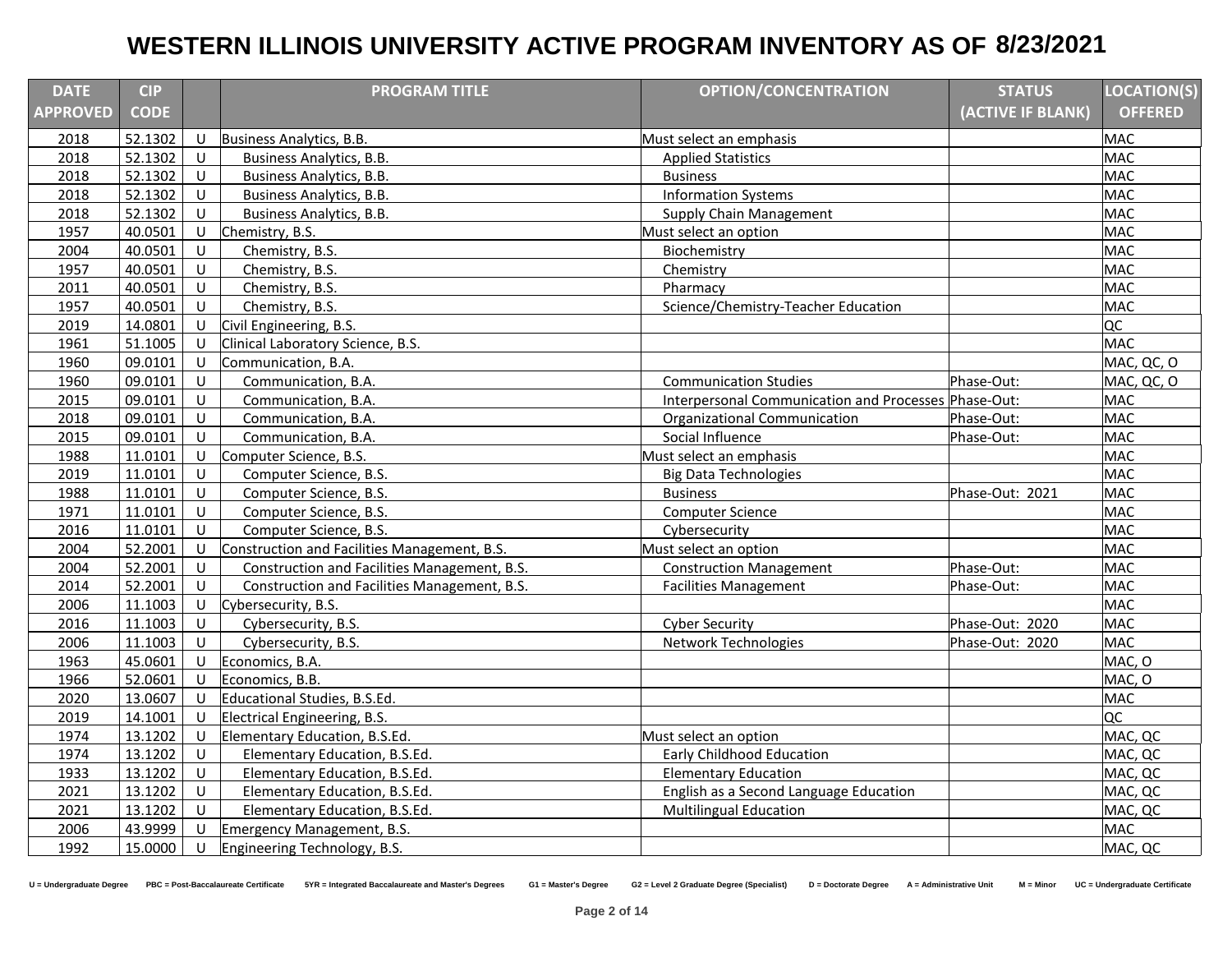| <b>DATE</b>     | <b>CIP</b>  |        | <b>PROGRAM TITLE</b>                         | <b>OPTION/CONCENTRATION</b>                          | <b>STATUS</b>     | <b>LOCATION(S)</b> |
|-----------------|-------------|--------|----------------------------------------------|------------------------------------------------------|-------------------|--------------------|
| <b>APPROVED</b> | <b>CODE</b> |        |                                              |                                                      | (ACTIVE IF BLANK) | <b>OFFERED</b>     |
| 2018            | 52.1302     | U      | Business Analytics, B.B.                     | Must select an emphasis                              |                   | <b>MAC</b>         |
| 2018            | 52.1302     | U      | Business Analytics, B.B.                     | <b>Applied Statistics</b>                            |                   | <b>MAC</b>         |
| 2018            | 52.1302     | U      | Business Analytics, B.B.                     | <b>Business</b>                                      |                   | <b>MAC</b>         |
| 2018            | 52.1302     | U      | <b>Business Analytics, B.B.</b>              | <b>Information Systems</b>                           |                   | <b>MAC</b>         |
| 2018            | 52.1302     | $\cup$ | Business Analytics, B.B.                     | <b>Supply Chain Management</b>                       |                   | <b>MAC</b>         |
| 1957            | 40.0501     | U      | Chemistry, B.S.                              | Must select an option                                |                   | <b>MAC</b>         |
| 2004            | 40.0501     | $\cup$ | Chemistry, B.S.                              | Biochemistry                                         |                   | <b>MAC</b>         |
| 1957            | 40.0501     | U      | Chemistry, B.S.                              | Chemistry                                            |                   | <b>MAC</b>         |
| 2011            | 40.0501     | U      | Chemistry, B.S.                              | Pharmacy                                             |                   | <b>MAC</b>         |
| 1957            | 40.0501     | $\cup$ | Chemistry, B.S.                              | Science/Chemistry-Teacher Education                  |                   | <b>MAC</b>         |
| 2019            | 14.0801     | U      | Civil Engineering, B.S.                      |                                                      |                   | QC                 |
| 1961            | 51.1005     | U      | Clinical Laboratory Science, B.S.            |                                                      |                   | <b>MAC</b>         |
| 1960            | 09.0101     | U      | Communication, B.A.                          |                                                      |                   | MAC, QC, O         |
| 1960            | 09.0101     | U      | Communication, B.A.                          | <b>Communication Studies</b>                         | Phase-Out:        | MAC, QC, O         |
| 2015            | 09.0101     | $\cup$ | Communication, B.A.                          | Interpersonal Communication and Processes Phase-Out: |                   | <b>MAC</b>         |
| 2018            | 09.0101     | U      | Communication, B.A.                          | Organizational Communication                         | Phase-Out:        | <b>MAC</b>         |
| 2015            | 09.0101     | U      | Communication, B.A.                          | Social Influence                                     | Phase-Out:        | <b>MAC</b>         |
| 1988            | 11.0101     | U      | Computer Science, B.S.                       | Must select an emphasis                              |                   | <b>MAC</b>         |
| 2019            | 11.0101     | U      | Computer Science, B.S.                       | <b>Big Data Technologies</b>                         |                   | <b>MAC</b>         |
| 1988            | 11.0101     | U      | Computer Science, B.S.                       | <b>Business</b>                                      | Phase-Out: 2021   | <b>MAC</b>         |
| 1971            | 11.0101     | $\cup$ | Computer Science, B.S.                       | Computer Science                                     |                   | <b>MAC</b>         |
| 2016            | 11.0101     | U      | Computer Science, B.S.                       | Cybersecurity                                        |                   | <b>MAC</b>         |
| 2004            | 52.2001     | U      | Construction and Facilities Management, B.S. | Must select an option                                |                   | <b>MAC</b>         |
| 2004            | 52.2001     | U      | Construction and Facilities Management, B.S. | <b>Construction Management</b>                       | Phase-Out:        | <b>MAC</b>         |
| 2014            | 52.2001     | $\cup$ | Construction and Facilities Management, B.S. | <b>Facilities Management</b>                         | Phase-Out:        | <b>MAC</b>         |
| 2006            | 11.1003     | U      | Cybersecurity, B.S.                          |                                                      |                   | <b>MAC</b>         |
| 2016            | 11.1003     | U      | Cybersecurity, B.S.                          | <b>Cyber Security</b>                                | Phase-Out: 2020   | <b>MAC</b>         |
| 2006            | 11.1003     | U      | Cybersecurity, B.S.                          | <b>Network Technologies</b>                          | Phase-Out: 2020   | <b>MAC</b>         |
| 1963            | 45.0601     | U      | Economics, B.A.                              |                                                      |                   | MAC, O             |
| 1966            | 52.0601     | U      | Economics, B.B.                              |                                                      |                   | MAC, O             |
| 2020            | 13.0607     | U      | Educational Studies, B.S.Ed.                 |                                                      |                   | <b>MAC</b>         |
| 2019            | 14.1001     | U      | Electrical Engineering, B.S.                 |                                                      |                   | QC                 |
| 1974            | 13.1202     | U      | Elementary Education, B.S.Ed.                | Must select an option                                |                   | MAC, QC            |
| 1974            | 13.1202     | U      | Elementary Education, B.S.Ed.                | Early Childhood Education                            |                   | MAC, QC            |
| 1933            | 13.1202     | U      | Elementary Education, B.S.Ed.                | <b>Elementary Education</b>                          |                   | MAC, QC            |
| 2021            | 13.1202     | $\cup$ | Elementary Education, B.S.Ed.                | English as a Second Language Education               |                   | MAC, QC            |
| 2021            | 13.1202     | U      | Elementary Education, B.S.Ed.                | <b>Multilingual Education</b>                        |                   | MAC, QC            |
| 2006            | 43.9999     | U      | Emergency Management, B.S.                   |                                                      |                   | <b>MAC</b>         |
| 1992            | 15.0000     | U      | Engineering Technology, B.S.                 |                                                      |                   | MAC, QC            |

U = Undergraduate Degree PBC = Post-Baccalaureate Certificate 5YR = Integrated Baccalaureate and Master's Degrees G1 = Master's Degree G2 = Level 2 Graduate Degree (Specialist) D = Doctorate Degree A = Administrative Unit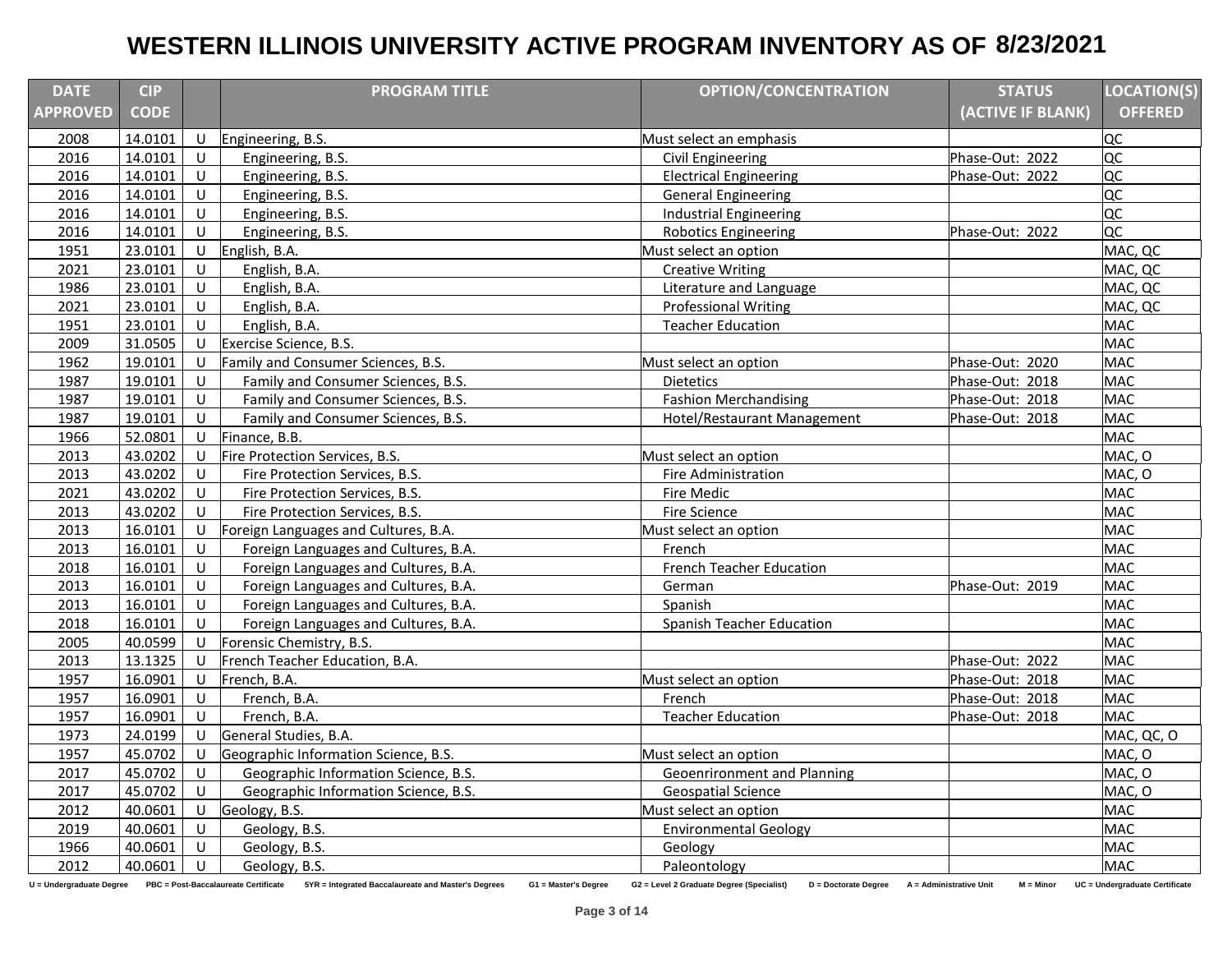| <b>DATE</b>     | <b>CIP</b>  |              | <b>PROGRAM TITLE</b>                 | <b>OPTION/CONCENTRATION</b>        | <b>STATUS</b>     | <b>LOCATION(S)</b> |
|-----------------|-------------|--------------|--------------------------------------|------------------------------------|-------------------|--------------------|
| <b>APPROVED</b> | <b>CODE</b> |              |                                      |                                    | (ACTIVE IF BLANK) | <b>OFFERED</b>     |
| 2008            | 14.0101     | U            | Engineering, B.S.                    | Must select an emphasis            |                   | loc                |
| 2016            | 14.0101     | U            | Engineering, B.S.                    | Civil Engineering                  | Phase-Out: 2022   | loc                |
| 2016            | 14.0101     | U            | Engineering, B.S.                    | <b>Electrical Engineering</b>      | Phase-Out: 2022   | QC                 |
| 2016            | 14.0101     | U            | Engineering, B.S.                    | <b>General Engineering</b>         |                   | <b>QC</b>          |
| 2016            | 14.0101     | $\cup$       | Engineering, B.S.                    | <b>Industrial Engineering</b>      |                   | loc                |
| 2016            | 14.0101     | U            | Engineering, B.S.                    | <b>Robotics Engineering</b>        | Phase-Out: 2022   | loc                |
| 1951            | 23.0101     | U            | English, B.A.                        | Must select an option              |                   | MAC, QC            |
| 2021            | 23.0101     | $\cup$       | English, B.A.                        | <b>Creative Writing</b>            |                   | MAC, QC            |
| 1986            | 23.0101     | U            | English, B.A.                        | Literature and Language            |                   | MAC, QC            |
| 2021            | 23.0101     | U            | English, B.A.                        | <b>Professional Writing</b>        |                   | MAC, QC            |
| 1951            | 23.0101     | U            | English, B.A.                        | <b>Teacher Education</b>           |                   | <b>MAC</b>         |
| 2009            | 31.0505     | U            | Exercise Science, B.S.               |                                    |                   | <b>MAC</b>         |
| 1962            | 19.0101     | U            | Family and Consumer Sciences, B.S.   | Must select an option              | Phase-Out: 2020   | <b>MAC</b>         |
| 1987            | 19.0101     | U            | Family and Consumer Sciences, B.S.   | Dietetics                          | Phase-Out: 2018   | <b>MAC</b>         |
| 1987            | 19.0101     | $\sf U$      | Family and Consumer Sciences, B.S.   | <b>Fashion Merchandising</b>       | Phase-Out: 2018   | <b>MAC</b>         |
| 1987            | 19.0101     | $\cup$       | Family and Consumer Sciences, B.S.   | <b>Hotel/Restaurant Management</b> | Phase-Out: 2018   | <b>MAC</b>         |
| 1966            | 52.0801     | U            | Finance, B.B.                        |                                    |                   | <b>MAC</b>         |
| 2013            | 43.0202     | U            | Fire Protection Services, B.S.       | Must select an option              |                   | MAC, O             |
| 2013            | 43.0202     | U            | Fire Protection Services, B.S.       | Fire Administration                |                   | MAC, O             |
| 2021            | 43.0202     | U            | Fire Protection Services, B.S.       | Fire Medic                         |                   | <b>MAC</b>         |
| 2013            | 43.0202     | U            | Fire Protection Services, B.S.       | Fire Science                       |                   | <b>MAC</b>         |
| 2013            | 16.0101     | U            | Foreign Languages and Cultures, B.A. | Must select an option              |                   | <b>MAC</b>         |
| 2013            | 16.0101     | U            | Foreign Languages and Cultures, B.A. | French                             |                   | <b>MAC</b>         |
| 2018            | 16.0101     | U            | Foreign Languages and Cultures, B.A. | <b>French Teacher Education</b>    |                   | <b>MAC</b>         |
| 2013            | 16.0101     | U            | Foreign Languages and Cultures, B.A. | German                             | Phase-Out: 2019   | <b>MAC</b>         |
| 2013            | 16.0101     | U            | Foreign Languages and Cultures, B.A. | Spanish                            |                   | <b>MAC</b>         |
| 2018            | 16.0101     | $\mathbf{U}$ | Foreign Languages and Cultures, B.A. | Spanish Teacher Education          |                   | <b>MAC</b>         |
| 2005            | 40.0599     | U            | Forensic Chemistry, B.S.             |                                    |                   | <b>MAC</b>         |
| 2013            | 13.1325     | U            | French Teacher Education, B.A.       |                                    | Phase-Out: 2022   | <b>MAC</b>         |
| 1957            | 16.0901     | U            | French, B.A.                         | Must select an option              | Phase-Out: 2018   | <b>MAC</b>         |
| 1957            | 16.0901     | U            | French, B.A.                         | French                             | Phase-Out: 2018   | <b>MAC</b>         |
| 1957            | 16.0901     | U            | French, B.A.                         | <b>Teacher Education</b>           | Phase-Out: 2018   | <b>MAC</b>         |
| 1973            | 24.0199     | U            | General Studies, B.A.                |                                    |                   | MAC, QC, O         |
| 1957            | 45.0702     | U            | Geographic Information Science, B.S. | Must select an option              |                   | MAC, O             |
| 2017            | 45.0702     | U            | Geographic Information Science, B.S. | Geoenrironment and Planning        |                   | MAC, O             |
| 2017            | 45.0702     | $\cup$       | Geographic Information Science, B.S. | <b>Geospatial Science</b>          |                   | MAC, O             |
| 2012            | 40.0601     | U            | Geology, B.S.                        | Must select an option              |                   | <b>MAC</b>         |
| 2019            | 40.0601     | U            | Geology, B.S.                        | <b>Environmental Geology</b>       |                   | <b>MAC</b>         |
| 1966            | 40.0601     | U            | Geology, B.S.                        | Geology                            |                   | <b>MAC</b>         |
| 2012            | 40.0601     | U            | Geology, B.S.                        | Paleontology                       |                   | <b>MAC</b>         |

U = Undergraduate Degree PBC = Post-Baccalaureate Certificate 5YR = Integrated Baccalaureate and Master's Degrees G1 = Master's Degree G2 = Level 2 Graduate Degree (Specialist) D = Doctorate Degree A = Administrative Unit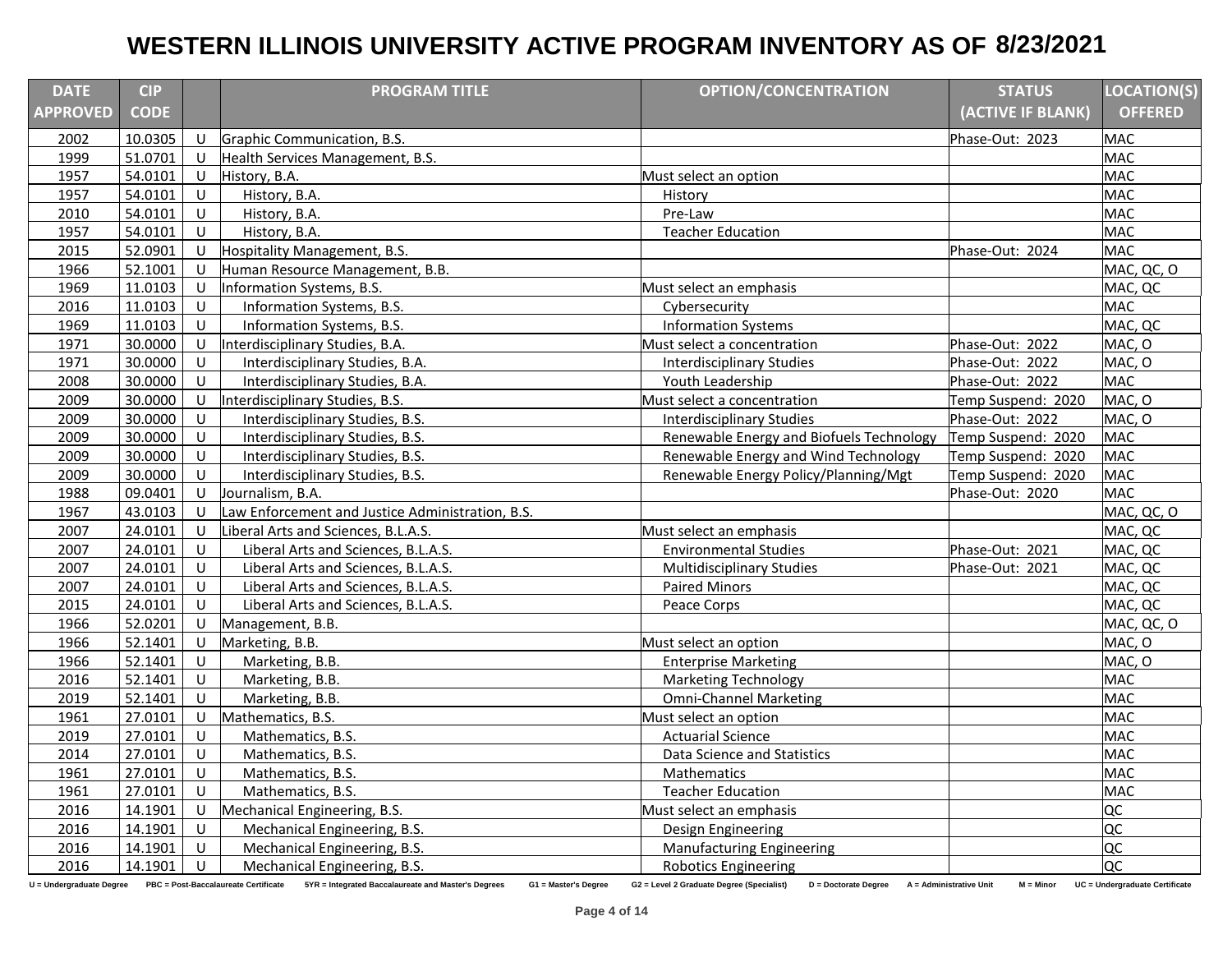| <b>DATE</b>     | <b>CIP</b>  |         | <b>PROGRAM TITLE</b>                             | <b>OPTION/CONCENTRATION</b>              | <b>STATUS</b>      | <b>LOCATION(S)</b> |
|-----------------|-------------|---------|--------------------------------------------------|------------------------------------------|--------------------|--------------------|
| <b>APPROVED</b> | <b>CODE</b> |         |                                                  |                                          | (ACTIVE IF BLANK)  | <b>OFFERED</b>     |
| 2002            | 10.0305     | U       | Graphic Communication, B.S.                      |                                          | Phase-Out: 2023    | <b>MAC</b>         |
| 1999            | 51.0701     | U       | Health Services Management, B.S.                 |                                          |                    | <b>MAC</b>         |
| 1957            | 54.0101     | U       | History, B.A.                                    | Must select an option                    |                    | <b>MAC</b>         |
| 1957            | 54.0101     | U       | History, B.A.                                    | History                                  |                    | <b>MAC</b>         |
| 2010            | 54.0101     | U       | History, B.A.                                    | Pre-Law                                  |                    | <b>MAC</b>         |
| 1957            | 54.0101     | U       | History, B.A.                                    | <b>Teacher Education</b>                 |                    | <b>MAC</b>         |
| 2015            | 52.0901     | U       | Hospitality Management, B.S.                     |                                          | Phase-Out: 2024    | <b>MAC</b>         |
| 1966            | 52.1001     | U       | Human Resource Management, B.B.                  |                                          |                    | MAC, QC, O         |
| 1969            | 11.0103     | U       | Information Systems, B.S.                        | Must select an emphasis                  |                    | MAC, QC            |
| 2016            | 11.0103     | U       | Information Systems, B.S.                        | Cybersecurity                            |                    | <b>MAC</b>         |
| 1969            | 11.0103     | U       | Information Systems, B.S.                        | <b>Information Systems</b>               |                    | MAC, QC            |
| 1971            | 30.0000     | U       | Interdisciplinary Studies, B.A.                  | Must select a concentration              | Phase-Out: 2022    | MAC, O             |
| 1971            | 30.0000     | $\cup$  | Interdisciplinary Studies, B.A.                  | <b>Interdisciplinary Studies</b>         | Phase-Out: 2022    | MAC, O             |
| 2008            | 30.0000     | U       | Interdisciplinary Studies, B.A.                  | Youth Leadership                         | Phase-Out: 2022    | <b>MAC</b>         |
| 2009            | 30.0000     | U       | Interdisciplinary Studies, B.S.                  | Must select a concentration              | Temp Suspend: 2020 | MAC, O             |
| 2009            | 30.0000     | U       | Interdisciplinary Studies, B.S.                  | <b>Interdisciplinary Studies</b>         | Phase-Out: 2022    | MAC, O             |
| 2009            | 30.0000     | $\cup$  | Interdisciplinary Studies, B.S.                  | Renewable Energy and Biofuels Technology | Temp Suspend: 2020 | <b>MAC</b>         |
| 2009            | 30.0000     | U       | Interdisciplinary Studies, B.S.                  | Renewable Energy and Wind Technology     | Temp Suspend: 2020 | <b>MAC</b>         |
| 2009            | 30.0000     | U       | Interdisciplinary Studies, B.S.                  | Renewable Energy Policy/Planning/Mgt     | Temp Suspend: 2020 | <b>MAC</b>         |
| 1988            | 09.0401     | U       | Journalism, B.A.                                 |                                          | Phase-Out: 2020    | <b>MAC</b>         |
| 1967            | 43.0103     | U       | Law Enforcement and Justice Administration, B.S. |                                          |                    | MAC, QC, O         |
| 2007            | 24.0101     | U       | Liberal Arts and Sciences, B.L.A.S.              | Must select an emphasis                  |                    | MAC, QC            |
| 2007            | 24.0101     | U       | Liberal Arts and Sciences, B.L.A.S.              | <b>Environmental Studies</b>             | Phase-Out: 2021    | MAC, QC            |
| 2007            | 24.0101     | $\cup$  | Liberal Arts and Sciences, B.L.A.S.              | <b>Multidisciplinary Studies</b>         | Phase-Out: 2021    | MAC, QC            |
| 2007            | 24.0101     | $\sf U$ | Liberal Arts and Sciences, B.L.A.S.              | <b>Paired Minors</b>                     |                    | MAC, QC            |
| 2015            | 24.0101     | U       | Liberal Arts and Sciences, B.L.A.S.              | Peace Corps                              |                    | MAC, QC            |
| 1966            | 52.0201     | U       | Management, B.B.                                 |                                          |                    | MAC, QC, O         |
| 1966            | 52.1401     | U       | Marketing, B.B.                                  | Must select an option                    |                    | MAC, O             |
| 1966            | 52.1401     | $\sf U$ | Marketing, B.B.                                  | <b>Enterprise Marketing</b>              |                    | MAC, O             |
| 2016            | 52.1401     | U       | Marketing, B.B.                                  | <b>Marketing Technology</b>              |                    | <b>MAC</b>         |
| 2019            | 52.1401     | U       | Marketing, B.B.                                  | <b>Omni-Channel Marketing</b>            |                    | <b>MAC</b>         |
| 1961            | 27.0101     | U       | Mathematics, B.S.                                | Must select an option                    |                    | <b>MAC</b>         |
| 2019            | 27.0101     | $\cup$  | Mathematics, B.S.                                | <b>Actuarial Science</b>                 |                    | <b>MAC</b>         |
| 2014            | 27.0101     | U       | Mathematics, B.S.                                | Data Science and Statistics              |                    | <b>MAC</b>         |
| 1961            | 27.0101     | $\sf U$ | Mathematics, B.S.                                | Mathematics                              |                    | MAC                |
| 1961            | 27.0101     | U       | Mathematics, B.S.                                | <b>Teacher Education</b>                 |                    | <b>MAC</b>         |
| 2016            | 14.1901     | U       | Mechanical Engineering, B.S.                     | Must select an emphasis                  |                    | QC                 |
| 2016            | 14.1901     | U       | Mechanical Engineering, B.S.                     | Design Engineering                       |                    | QC                 |
| 2016            | 14.1901     | U       | Mechanical Engineering, B.S.                     | <b>Manufacturing Engineering</b>         |                    | QC                 |
| 2016            | 14.1901     | U       | Mechanical Engineering, B.S.                     | <b>Robotics Engineering</b>              |                    | QC                 |

U = Undergraduate Degree PBC = Post-Baccalaureate Certificate 5YR = Integrated Baccalaureate and Master's Degrees G1 = Master's Degree G2 = Level 2 Graduate Degree (Specialist) D = Doctorate Degree A = Administrative Unit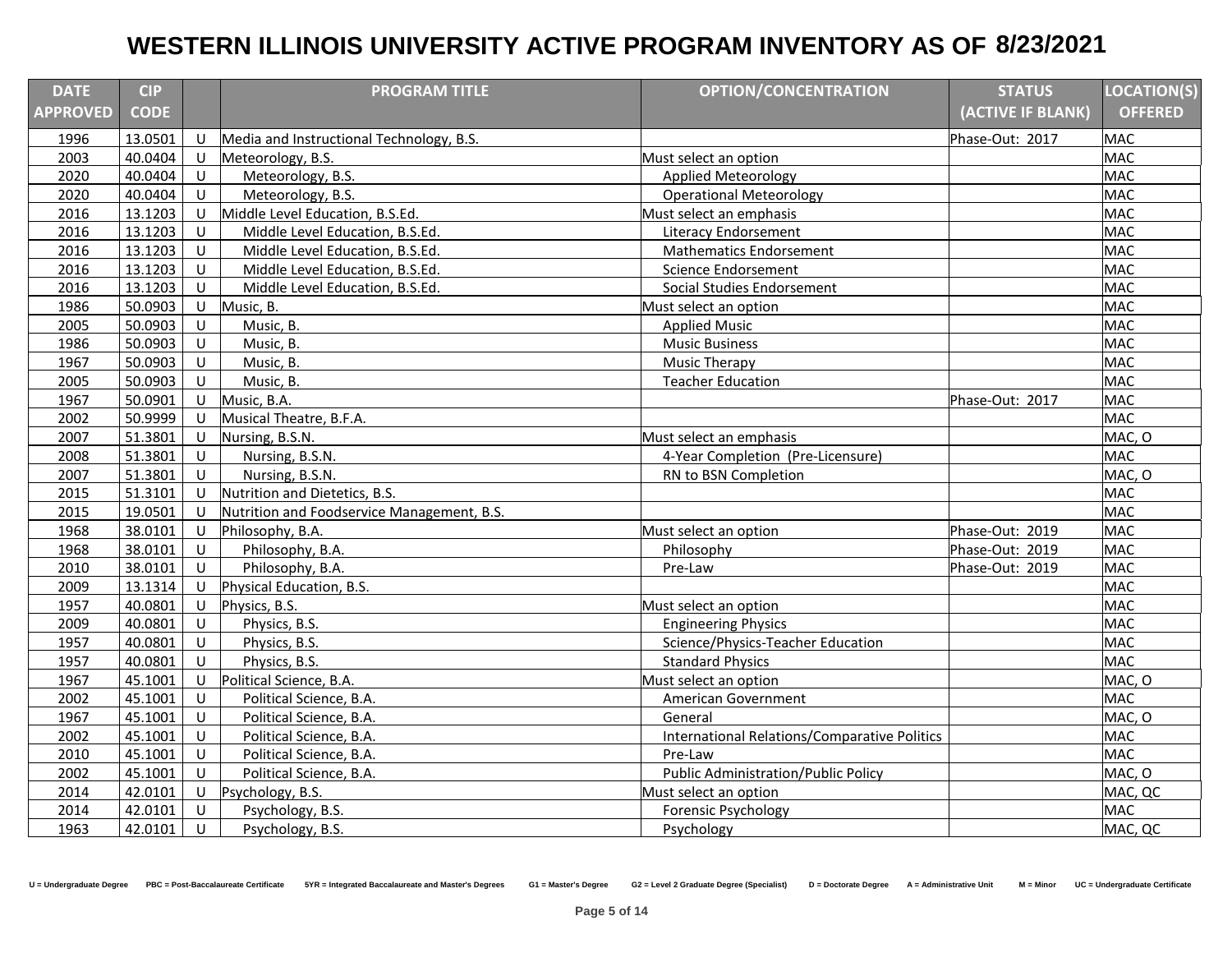| <b>DATE</b>     | <b>CIP</b>  |              | <b>PROGRAM TITLE</b>                       | <b>OPTION/CONCENTRATION</b>                         | <b>STATUS</b>     | <b>LOCATION(S)</b> |
|-----------------|-------------|--------------|--------------------------------------------|-----------------------------------------------------|-------------------|--------------------|
| <b>APPROVED</b> | <b>CODE</b> |              |                                            |                                                     | (ACTIVE IF BLANK) | <b>OFFERED</b>     |
| 1996            | 13.0501     | U            | Media and Instructional Technology, B.S.   |                                                     | Phase-Out: 2017   | <b>MAC</b>         |
| 2003            | 40.0404     | $\cup$       | Meteorology, B.S.                          | Must select an option                               |                   | <b>MAC</b>         |
| 2020            | 40.0404     | $\cup$       | Meteorology, B.S.                          | <b>Applied Meteorology</b>                          |                   | <b>MAC</b>         |
| 2020            | 40.0404     | U            | Meteorology, B.S.                          | <b>Operational Meteorology</b>                      |                   | <b>MAC</b>         |
| 2016            | 13.1203     | U            | Middle Level Education, B.S.Ed.            | Must select an emphasis                             |                   | <b>MAC</b>         |
| 2016            | 13.1203     | U            | Middle Level Education, B.S.Ed.            | <b>Literacy Endorsement</b>                         |                   | <b>MAC</b>         |
| 2016            | 13.1203     | U            | Middle Level Education, B.S.Ed.            | <b>Mathematics Endorsement</b>                      |                   | <b>MAC</b>         |
| 2016            | 13.1203     | U            | Middle Level Education, B.S.Ed.            | Science Endorsement                                 |                   | <b>MAC</b>         |
| 2016            | 13.1203     | $\cup$       | Middle Level Education, B.S.Ed.            | Social Studies Endorsement                          |                   | <b>MAC</b>         |
| 1986            | 50.0903     | $\cup$       | Music, B.                                  | Must select an option                               |                   | <b>MAC</b>         |
| 2005            | 50.0903     | U            | Music, B.                                  | <b>Applied Music</b>                                |                   | <b>MAC</b>         |
| 1986            | 50.0903     | U            | Music, B.                                  | <b>Music Business</b>                               |                   | <b>MAC</b>         |
| 1967            | 50.0903     | U            | Music, B.                                  | <b>Music Therapy</b>                                |                   | <b>MAC</b>         |
| 2005            | 50.0903     | U            | Music, B.                                  | <b>Teacher Education</b>                            |                   | <b>MAC</b>         |
| 1967            | 50.0901     | U            | Music, B.A.                                |                                                     | Phase-Out: 2017   | <b>MAC</b>         |
| 2002            | 50.9999     | U            | Musical Theatre, B.F.A.                    |                                                     |                   | <b>MAC</b>         |
| 2007            | 51.3801     | U            | Nursing, B.S.N.                            | Must select an emphasis                             |                   | MAC, O             |
| 2008            | 51.3801     | U            | Nursing, B.S.N.                            | 4-Year Completion (Pre-Licensure)                   |                   | <b>MAC</b>         |
| 2007            | 51.3801     | U            | Nursing, B.S.N.                            | RN to BSN Completion                                |                   | MAC, O             |
| 2015            | 51.3101     | U            | Nutrition and Dietetics, B.S.              |                                                     |                   | <b>MAC</b>         |
| 2015            | 19.0501     | $\mathbf{U}$ | Nutrition and Foodservice Management, B.S. |                                                     |                   | <b>MAC</b>         |
| 1968            | 38.0101     | U            | Philosophy, B.A.                           | Must select an option                               | Phase-Out: 2019   | <b>MAC</b>         |
| 1968            | 38.0101     | U            | Philosophy, B.A.                           | Philosophy                                          | Phase-Out: 2019   | <b>MAC</b>         |
| 2010            | 38.0101     | U            | Philosophy, B.A.                           | Pre-Law                                             | Phase-Out: 2019   | <b>MAC</b>         |
| 2009            | 13.1314     | U            | Physical Education, B.S.                   |                                                     |                   | <b>MAC</b>         |
| 1957            | 40.0801     | U            | Physics, B.S.                              | Must select an option                               |                   | <b>MAC</b>         |
| 2009            | 40.0801     | $\cup$       | Physics, B.S.                              | <b>Engineering Physics</b>                          |                   | <b>MAC</b>         |
| 1957            | 40.0801     | $\cup$       | Physics, B.S.                              | Science/Physics-Teacher Education                   |                   | <b>MAC</b>         |
| 1957            | 40.0801     | U            | Physics, B.S.                              | <b>Standard Physics</b>                             |                   | <b>MAC</b>         |
| 1967            | 45.1001     | U            | Political Science, B.A.                    | Must select an option                               |                   | MAC, O             |
| 2002            | 45.1001     | U            | Political Science, B.A.                    | American Government                                 |                   | <b>MAC</b>         |
| 1967            | 45.1001     | U            | Political Science, B.A.                    | General                                             |                   | MAC, O             |
| 2002            | 45.1001     | $\cup$       | Political Science, B.A.                    | <b>International Relations/Comparative Politics</b> |                   | <b>MAC</b>         |
| 2010            | 45.1001     | U            | Political Science, B.A.                    | Pre-Law                                             |                   | <b>MAC</b>         |
| 2002            | 45.1001     | U            | Political Science, B.A.                    | <b>Public Administration/Public Policy</b>          |                   | MAC, O             |
| 2014            | 42.0101     | U            | Psychology, B.S.                           | Must select an option                               |                   | MAC, QC            |
| 2014            | 42.0101     | $\cup$       | Psychology, B.S.                           | Forensic Psychology                                 |                   | <b>MAC</b>         |
| 1963            | 42.0101     | U            | Psychology, B.S.                           | Psychology                                          |                   | MAC, QC            |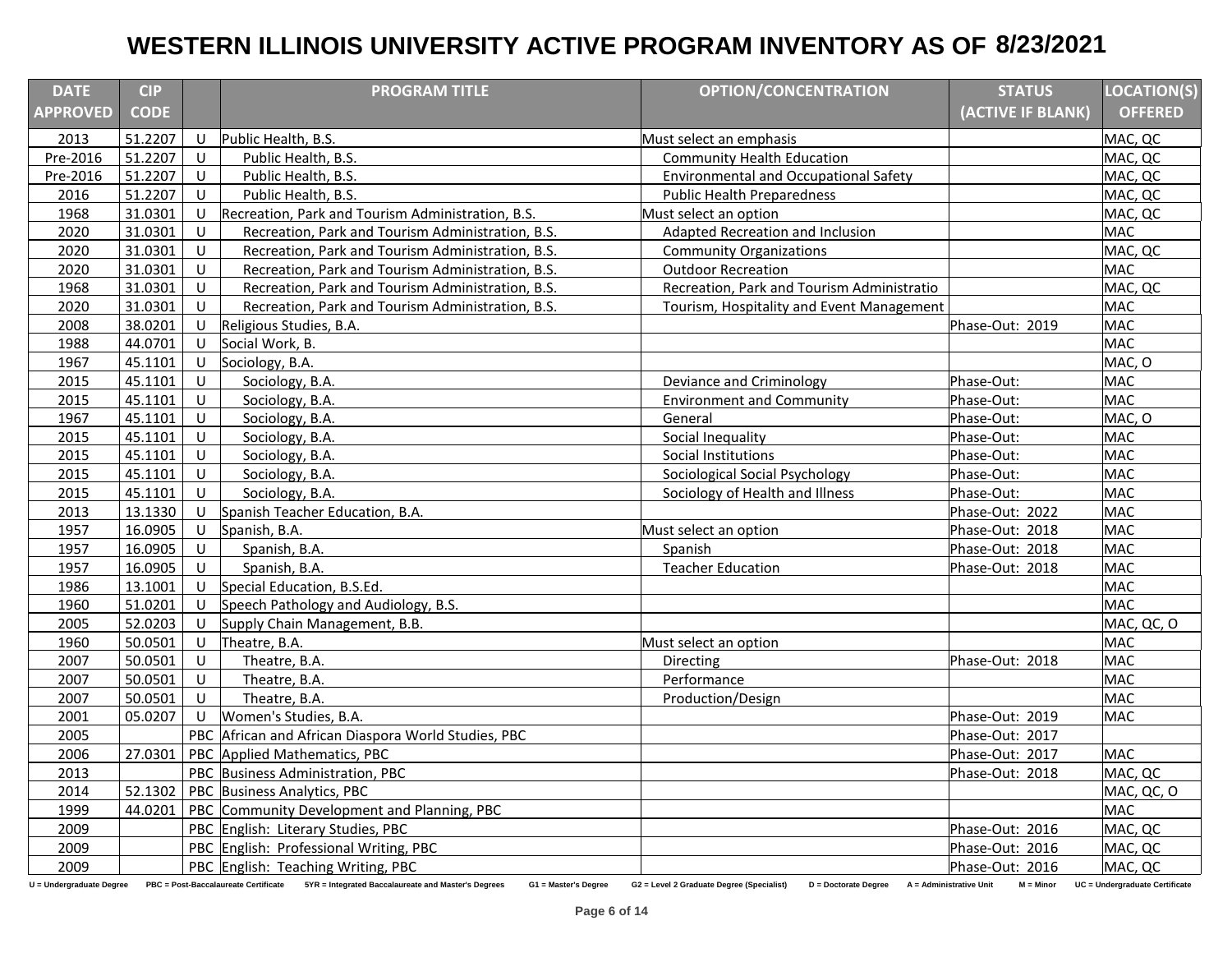| <b>DATE</b>              | <b>CIP</b>  |              | <b>PROGRAM TITLE</b>                                                                                             | <b>OPTION/CONCENTRATION</b>                                       | <b>STATUS</b>                          | <b>LOCATION(S)</b>             |
|--------------------------|-------------|--------------|------------------------------------------------------------------------------------------------------------------|-------------------------------------------------------------------|----------------------------------------|--------------------------------|
| <b>APPROVED</b>          | <b>CODE</b> |              |                                                                                                                  |                                                                   | (ACTIVE IF BLANK)                      | <b>OFFERED</b>                 |
| 2013                     | 51.2207     | U            | Public Health, B.S.                                                                                              | Must select an emphasis                                           |                                        | MAC, QC                        |
| Pre-2016                 | 51.2207     | $\mathbf{U}$ | Public Health, B.S.                                                                                              | <b>Community Health Education</b>                                 |                                        | MAC, QC                        |
| Pre-2016                 | 51.2207     | U            | Public Health, B.S.                                                                                              | <b>Environmental and Occupational Safety</b>                      |                                        | MAC, QC                        |
| 2016                     | 51.2207     | U            | Public Health, B.S.                                                                                              | <b>Public Health Preparedness</b>                                 |                                        | MAC, QC                        |
| 1968                     | 31.0301     | U            | Recreation, Park and Tourism Administration, B.S.                                                                | Must select an option                                             |                                        | MAC, QC                        |
| 2020                     | 31.0301     | U            | Recreation, Park and Tourism Administration, B.S.                                                                | <b>Adapted Recreation and Inclusion</b>                           |                                        | <b>MAC</b>                     |
| 2020                     | 31.0301     | U            | Recreation, Park and Tourism Administration, B.S.                                                                | <b>Community Organizations</b>                                    |                                        | MAC, QC                        |
| 2020                     | 31.0301     | U            | Recreation, Park and Tourism Administration, B.S.                                                                | <b>Outdoor Recreation</b>                                         |                                        | <b>MAC</b>                     |
| 1968                     | 31.0301     | U            | Recreation, Park and Tourism Administration, B.S.                                                                | Recreation, Park and Tourism Administratio                        |                                        | MAC, QC                        |
| 2020                     | 31.0301     | U            | Recreation, Park and Tourism Administration, B.S.                                                                | Tourism, Hospitality and Event Management                         |                                        | <b>MAC</b>                     |
| 2008                     | 38.0201     | U            | Religious Studies, B.A.                                                                                          |                                                                   | Phase-Out: 2019                        | <b>MAC</b>                     |
| 1988                     | 44.0701     | U            | Social Work, B.                                                                                                  |                                                                   |                                        | <b>MAC</b>                     |
| 1967                     | 45.1101     | U            | Sociology, B.A.                                                                                                  |                                                                   |                                        | MAC, O                         |
| 2015                     | 45.1101     | U            | Sociology, B.A.                                                                                                  | Deviance and Criminology                                          | Phase-Out:                             | <b>MAC</b>                     |
| 2015                     | 45.1101     | U            | Sociology, B.A.                                                                                                  | <b>Environment and Community</b>                                  | Phase-Out:                             | <b>MAC</b>                     |
| 1967                     | 45.1101     | U            | Sociology, B.A.                                                                                                  | General                                                           | Phase-Out:                             | MAC, O                         |
| 2015                     | 45.1101     | U            | Sociology, B.A.                                                                                                  | Social Inequality                                                 | Phase-Out:                             | <b>MAC</b>                     |
| 2015                     | 45.1101     | U            | Sociology, B.A.                                                                                                  | Social Institutions                                               | Phase-Out:                             | <b>MAC</b>                     |
| 2015                     | 45.1101     | U            | Sociology, B.A.                                                                                                  | Sociological Social Psychology                                    | Phase-Out:                             | <b>MAC</b>                     |
| 2015                     | 45.1101     | U            | Sociology, B.A.                                                                                                  | Sociology of Health and Illness                                   | Phase-Out:                             | <b>MAC</b>                     |
| 2013                     | 13.1330     | U            | Spanish Teacher Education, B.A.                                                                                  |                                                                   | Phase-Out: 2022                        | <b>MAC</b>                     |
| 1957                     | 16.0905     | U            | Spanish, B.A.                                                                                                    | Must select an option                                             | Phase-Out: 2018                        | <b>MAC</b>                     |
| 1957                     | 16.0905     | U            | Spanish, B.A.                                                                                                    | Spanish                                                           | Phase-Out: 2018                        | <b>MAC</b>                     |
| 1957                     | 16.0905     | U            | Spanish, B.A.                                                                                                    | <b>Teacher Education</b>                                          | Phase-Out: 2018                        | <b>MAC</b>                     |
| 1986                     | 13.1001     | U            | Special Education, B.S.Ed.                                                                                       |                                                                   |                                        | <b>MAC</b>                     |
| 1960                     | 51.0201     | U            | Speech Pathology and Audiology, B.S.                                                                             |                                                                   |                                        | <b>MAC</b>                     |
| 2005                     | 52.0203     | U            | Supply Chain Management, B.B.                                                                                    |                                                                   |                                        | MAC, QC, O                     |
| 1960                     | 50.0501     | U            | Theatre, B.A.                                                                                                    | Must select an option                                             |                                        | <b>MAC</b>                     |
| 2007                     | 50.0501     | U            | Theatre, B.A.                                                                                                    | Directing                                                         | Phase-Out: 2018                        | <b>MAC</b>                     |
| 2007                     | 50.0501     | U            | Theatre, B.A.                                                                                                    | Performance                                                       |                                        | <b>MAC</b>                     |
| 2007                     | 50.0501     | U            | Theatre, B.A.                                                                                                    | Production/Design                                                 |                                        | <b>MAC</b>                     |
| 2001                     | 05.0207     | U            | Women's Studies, B.A.                                                                                            |                                                                   | Phase-Out: 2019                        | <b>MAC</b>                     |
| 2005                     |             |              | PBC African and African Diaspora World Studies, PBC                                                              |                                                                   | Phase-Out: 2017                        |                                |
| 2006                     | 27.0301     |              | PBC Applied Mathematics, PBC                                                                                     |                                                                   | Phase-Out: 2017                        | <b>MAC</b>                     |
| 2013                     |             | PBC          | Business Administration, PBC                                                                                     |                                                                   | Phase-Out: 2018                        | MAC, QC                        |
| 2014                     | 52.1302     |              | PBC Business Analytics, PBC                                                                                      |                                                                   |                                        | MAC, QC, O                     |
| 1999                     | 44.0201     |              | PBC Community Development and Planning, PBC                                                                      |                                                                   |                                        | <b>MAC</b>                     |
| 2009                     |             |              | PBC English: Literary Studies, PBC                                                                               |                                                                   | Phase-Out: 2016                        | MAC, QC                        |
| 2009                     |             |              | PBC English: Professional Writing, PBC                                                                           |                                                                   | Phase-Out: 2016                        | MAC, QC                        |
| 2009                     |             |              | PBC English: Teaching Writing, PBC                                                                               |                                                                   | Phase-Out: 2016                        | MAC, QC                        |
| U = Undergraduate Degree |             |              | PBC = Post-Baccalaureate Certificate 5YR = Integrated Baccalaureate and Master's Degrees<br>G1 = Master's Degree | G2 = Level 2 Graduate Degree (Specialist)<br>D = Doctorate Degree | A = Administrative Unit<br>$M = Minor$ | UC = Undergraduate Certificate |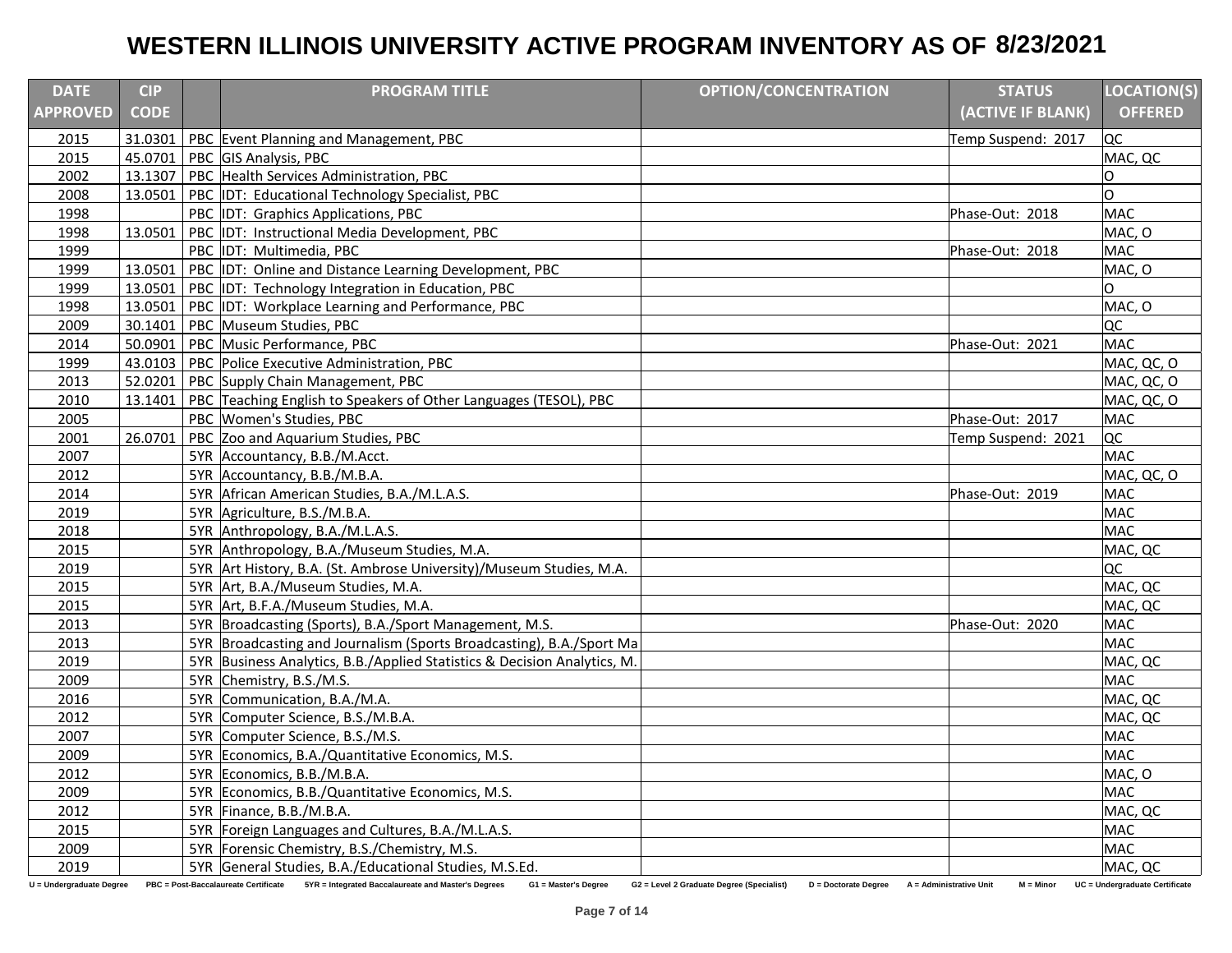| <b>DATE</b>              | <b>CIP</b>  | <b>PROGRAM TITLE</b>                                                                                             | <b>OPTION/CONCENTRATION</b>                                       | <b>STATUS</b>                          | <b>LOCATION(S)</b>             |
|--------------------------|-------------|------------------------------------------------------------------------------------------------------------------|-------------------------------------------------------------------|----------------------------------------|--------------------------------|
| <b>APPROVED</b>          | <b>CODE</b> |                                                                                                                  |                                                                   | (ACTIVE IF BLANK)                      | <b>OFFERED</b>                 |
| 2015                     |             | 31.0301   PBC Event Planning and Management, PBC                                                                 |                                                                   | Temp Suspend: 2017                     | QC                             |
| 2015                     |             | 45.0701 PBC GIS Analysis, PBC                                                                                    |                                                                   |                                        | MAC, QC                        |
| 2002                     | 13.1307     | PBC Health Services Administration, PBC                                                                          |                                                                   |                                        | $\Omega$                       |
| 2008                     |             | 13.0501   PBC IDT: Educational Technology Specialist, PBC                                                        |                                                                   |                                        | O                              |
| 1998                     |             | PBC IDT: Graphics Applications, PBC                                                                              |                                                                   | Phase-Out: 2018                        | <b>MAC</b>                     |
| 1998                     | 13.0501     | IDT: Instructional Media Development, PBC<br>PBC                                                                 |                                                                   |                                        | MAC, O                         |
| 1999                     |             | PBC IDT: Multimedia, PBC                                                                                         |                                                                   | Phase-Out: 2018                        | <b>MAC</b>                     |
| 1999                     | 13.0501     | PBC IDT: Online and Distance Learning Development, PBC                                                           |                                                                   |                                        | MAC, O                         |
| 1999                     |             | 13.0501 PBC IDT: Technology Integration in Education, PBC                                                        |                                                                   |                                        | C.                             |
| 1998                     |             | 13.0501 PBC IDT: Workplace Learning and Performance, PBC                                                         |                                                                   |                                        | MAC, O                         |
| 2009                     |             | 30.1401   PBC Museum Studies, PBC                                                                                |                                                                   |                                        | QC                             |
| 2014                     |             | 50.0901   PBC Music Performance, PBC                                                                             |                                                                   | Phase-Out: 2021                        | <b>MAC</b>                     |
| 1999                     |             | 43.0103 PBC Police Executive Administration, PBC                                                                 |                                                                   |                                        | MAC, QC, O                     |
| 2013                     | 52.0201     | PBC Supply Chain Management, PBC                                                                                 |                                                                   |                                        | MAC, QC, O                     |
| 2010                     | 13.1401     | PBC Teaching English to Speakers of Other Languages (TESOL), PBC                                                 |                                                                   |                                        | MAC, QC, O                     |
| 2005                     |             | PBC Women's Studies, PBC                                                                                         |                                                                   | Phase-Out: 2017                        | <b>MAC</b>                     |
| 2001                     | 26.0701     | PBC Zoo and Aquarium Studies, PBC                                                                                |                                                                   | Temp Suspend: 2021                     | QC                             |
| 2007                     |             | 5YR Accountancy, B.B./M.Acct.                                                                                    |                                                                   |                                        | <b>MAC</b>                     |
| 2012                     |             | 5YR Accountancy, B.B./M.B.A.                                                                                     |                                                                   |                                        | MAC, QC, O                     |
| 2014                     |             | 5YR African American Studies, B.A./M.L.A.S.                                                                      |                                                                   | Phase-Out: 2019                        | <b>MAC</b>                     |
| 2019                     |             | 5YR Agriculture, B.S./M.B.A.                                                                                     |                                                                   |                                        | <b>MAC</b>                     |
| 2018                     |             | 5YR Anthropology, B.A./M.L.A.S.                                                                                  |                                                                   |                                        | <b>MAC</b>                     |
| 2015                     |             | 5YR Anthropology, B.A./Museum Studies, M.A.                                                                      |                                                                   |                                        | MAC, QC                        |
| 2019                     |             | 5YR Art History, B.A. (St. Ambrose University)/Museum Studies, M.A.                                              |                                                                   |                                        | QC                             |
| 2015                     |             | 5YR Art, B.A./Museum Studies, M.A.                                                                               |                                                                   |                                        | MAC, QC                        |
| 2015                     |             | 5YR Art, B.F.A./Museum Studies, M.A.                                                                             |                                                                   |                                        | MAC, QC                        |
| 2013                     |             | 5YR Broadcasting (Sports), B.A./Sport Management, M.S.                                                           |                                                                   | Phase-Out: 2020                        | <b>MAC</b>                     |
| 2013                     |             | 5YR Broadcasting and Journalism (Sports Broadcasting), B.A./Sport Ma                                             |                                                                   |                                        | <b>MAC</b>                     |
| 2019                     |             | 5YR Business Analytics, B.B./Applied Statistics & Decision Analytics, M.                                         |                                                                   |                                        | MAC, QC                        |
| 2009                     |             | 5YR Chemistry, B.S./M.S.                                                                                         |                                                                   |                                        | <b>MAC</b>                     |
| 2016                     |             | 5YR Communication, B.A./M.A.                                                                                     |                                                                   |                                        | MAC, QC                        |
| 2012                     |             | 5YR Computer Science, B.S./M.B.A.                                                                                |                                                                   |                                        | MAC, QC                        |
| 2007                     |             | 5YR Computer Science, B.S./M.S.                                                                                  |                                                                   |                                        | <b>MAC</b>                     |
| 2009                     |             | 5YR Economics, B.A./Quantitative Economics, M.S.                                                                 |                                                                   |                                        | <b>MAC</b>                     |
| 2012                     |             | 5YR Economics, B.B./M.B.A.                                                                                       |                                                                   |                                        | MAC, O                         |
| 2009                     |             | 5YR Economics, B.B./Quantitative Economics, M.S.                                                                 |                                                                   |                                        | <b>MAC</b>                     |
| 2012                     |             | 5YR Finance, B.B./M.B.A.                                                                                         |                                                                   |                                        | MAC, QC                        |
| 2015                     |             | 5YR Foreign Languages and Cultures, B.A./M.L.A.S.                                                                |                                                                   |                                        | <b>MAC</b>                     |
| 2009                     |             | 5YR Forensic Chemistry, B.S./Chemistry, M.S.                                                                     |                                                                   |                                        | <b>MAC</b>                     |
| 2019                     |             | 5YR General Studies, B.A./Educational Studies, M.S.Ed.                                                           |                                                                   |                                        | MAC, QC                        |
| U = Undergraduate Degree |             | PBC = Post-Baccalaureate Certificate 5YR = Integrated Baccalaureate and Master's Degrees<br>G1 = Master's Degree | G2 = Level 2 Graduate Degree (Specialist)<br>D = Doctorate Degree | A = Administrative Unit<br>$M = Minor$ | UC = Undergraduate Certificate |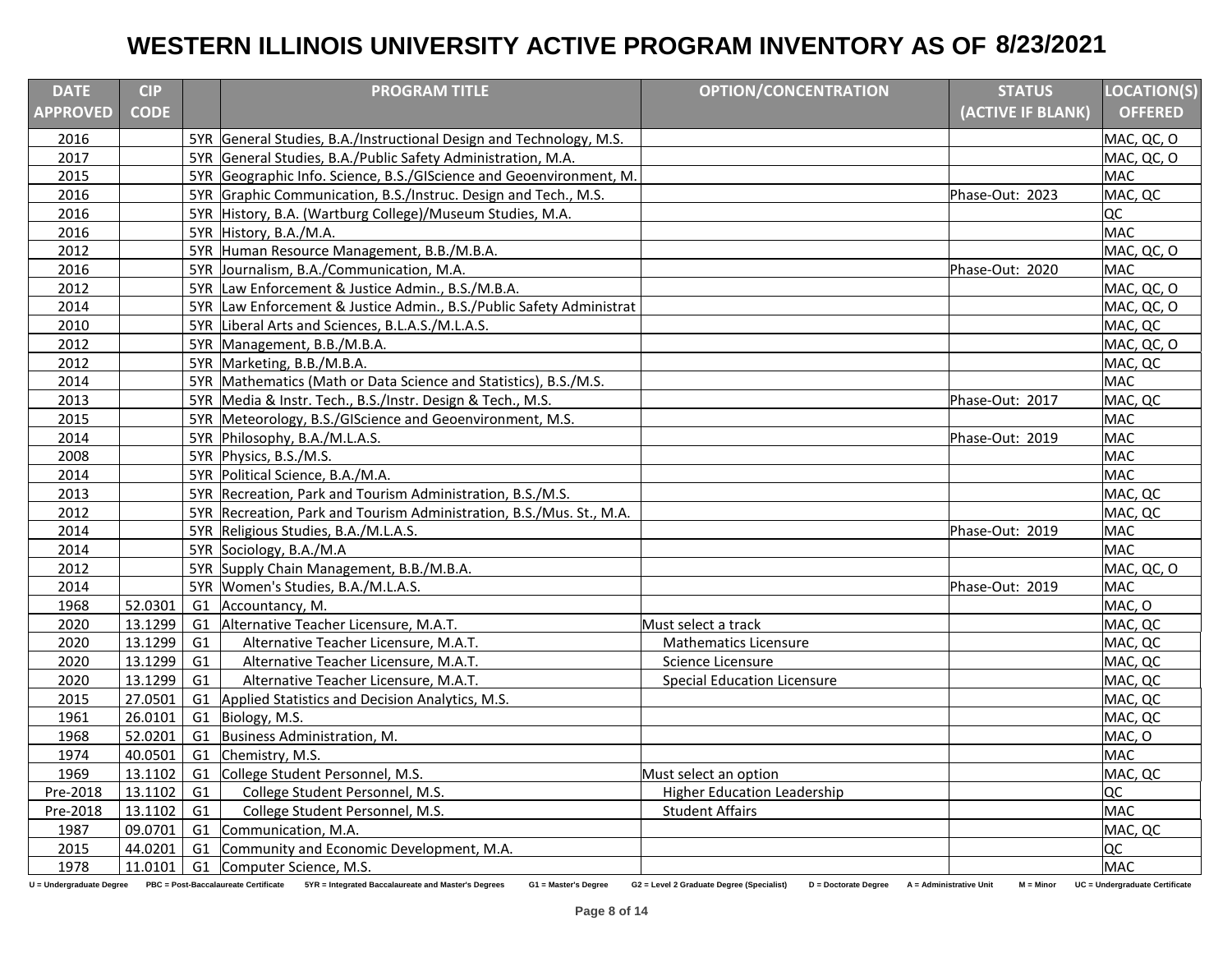| <b>DATE</b>     | <b>CIP</b>   |    | <b>PROGRAM TITLE</b>                                                                                                                      | <b>OPTION/CONCENTRATION</b>                                       | <b>STATUS</b>                          | <b>LOCATION(S)</b>             |
|-----------------|--------------|----|-------------------------------------------------------------------------------------------------------------------------------------------|-------------------------------------------------------------------|----------------------------------------|--------------------------------|
| <b>APPROVED</b> | <b>CODE</b>  |    |                                                                                                                                           |                                                                   | (ACTIVE IF BLANK)                      | <b>OFFERED</b>                 |
| 2016            |              |    | 5YR General Studies, B.A./Instructional Design and Technology, M.S.                                                                       |                                                                   |                                        | MAC, QC, O                     |
| 2017            |              |    | 5YR General Studies, B.A./Public Safety Administration, M.A.                                                                              |                                                                   |                                        | MAC, QC, O                     |
| 2015            |              |    | 5YR Geographic Info. Science, B.S./GIScience and Geoenvironment, M.                                                                       |                                                                   |                                        | <b>MAC</b>                     |
| 2016            |              |    | 5YR Graphic Communication, B.S./Instruc. Design and Tech., M.S.                                                                           |                                                                   | Phase-Out: 2023                        | MAC, QC                        |
| 2016            |              |    | 5YR History, B.A. (Wartburg College)/Museum Studies, M.A.                                                                                 |                                                                   |                                        | lQC                            |
| 2016            |              |    | 5YR History, B.A./M.A.                                                                                                                    |                                                                   |                                        | <b>MAC</b>                     |
| 2012            |              |    | 5YR Human Resource Management, B.B./M.B.A.                                                                                                |                                                                   |                                        | MAC, QC, O                     |
| 2016            |              |    | 5YR Journalism, B.A./Communication, M.A.                                                                                                  |                                                                   | Phase-Out: 2020                        | <b>MAC</b>                     |
| 2012            |              |    | 5YR Law Enforcement & Justice Admin., B.S./M.B.A.                                                                                         |                                                                   |                                        | MAC, QC, O                     |
| 2014            |              |    | 5YR Law Enforcement & Justice Admin., B.S./Public Safety Administrat                                                                      |                                                                   |                                        | MAC, QC, O                     |
| 2010            |              |    | 5YR Liberal Arts and Sciences, B.L.A.S./M.L.A.S.                                                                                          |                                                                   |                                        | MAC, QC                        |
| 2012            |              |    | 5YR Management, B.B./M.B.A.                                                                                                               |                                                                   |                                        | MAC, QC, O                     |
| 2012            |              |    | 5YR Marketing, B.B./M.B.A.                                                                                                                |                                                                   |                                        | MAC, QC                        |
| 2014            |              |    | 5YR Mathematics (Math or Data Science and Statistics), B.S./M.S.                                                                          |                                                                   |                                        | <b>MAC</b>                     |
| 2013            |              |    | 5YR Media & Instr. Tech., B.S./Instr. Design & Tech., M.S.                                                                                |                                                                   | Phase-Out: 2017                        | MAC, QC                        |
| 2015            |              |    | 5YR Meteorology, B.S./GIScience and Geoenvironment, M.S.                                                                                  |                                                                   |                                        | <b>MAC</b>                     |
| 2014            |              |    | 5YR Philosophy, B.A./M.L.A.S.                                                                                                             |                                                                   | Phase-Out: 2019                        | <b>MAC</b>                     |
| 2008            |              |    | 5YR Physics, B.S./M.S.                                                                                                                    |                                                                   |                                        | <b>MAC</b>                     |
| 2014            |              |    | 5YR Political Science, B.A./M.A.                                                                                                          |                                                                   |                                        | <b>MAC</b>                     |
| 2013            |              |    | 5YR Recreation, Park and Tourism Administration, B.S./M.S.                                                                                |                                                                   |                                        | MAC, QC                        |
| 2012            |              |    | 5YR Recreation, Park and Tourism Administration, B.S./Mus. St., M.A.                                                                      |                                                                   |                                        | MAC, QC                        |
| 2014            |              |    | 5YR Religious Studies, B.A./M.L.A.S.                                                                                                      |                                                                   | Phase-Out: 2019                        | <b>MAC</b>                     |
| 2014            |              |    | 5YR Sociology, B.A./M.A                                                                                                                   |                                                                   |                                        | <b>MAC</b>                     |
| 2012            |              |    | 5YR Supply Chain Management, B.B./M.B.A.                                                                                                  |                                                                   |                                        | MAC, QC, O                     |
| 2014            |              |    | 5YR Women's Studies, B.A./M.L.A.S.                                                                                                        |                                                                   | Phase-Out: 2019                        | <b>MAC</b>                     |
| 1968            | 52.0301      |    | G1 Accountancy, M.                                                                                                                        |                                                                   |                                        | MAC, O                         |
| 2020            | 13.1299      |    | G1 Alternative Teacher Licensure, M.A.T.                                                                                                  | Must select a track                                               |                                        | MAC, QC                        |
| 2020            | 13.1299      | G1 | Alternative Teacher Licensure, M.A.T.                                                                                                     | Mathematics Licensure                                             |                                        | MAC, QC                        |
| 2020            | 13.1299      | G1 | Alternative Teacher Licensure, M.A.T.                                                                                                     | Science Licensure                                                 |                                        | MAC, QC                        |
| 2020            | 13.1299      | G1 | Alternative Teacher Licensure, M.A.T.                                                                                                     | <b>Special Education Licensure</b>                                |                                        | MAC, QC                        |
| 2015            | 27.0501      |    | G1 Applied Statistics and Decision Analytics, M.S.                                                                                        |                                                                   |                                        | MAC, QC                        |
| 1961            | 26.0101      | G1 | Biology, M.S.                                                                                                                             |                                                                   |                                        | MAC, QC                        |
| 1968            | 52.0201      | G1 | Business Administration, M.                                                                                                               |                                                                   |                                        | MAC, O                         |
| 1974            | 40.0501      | G1 | Chemistry, M.S.                                                                                                                           |                                                                   |                                        | <b>MAC</b>                     |
| 1969            | 13.1102      | G1 | College Student Personnel, M.S.                                                                                                           | Must select an option                                             |                                        | MAC, QC                        |
| Pre-2018        | $13.1102$ G1 |    | College Student Personnel, M.S.                                                                                                           | <b>Higher Education Leadership</b>                                |                                        | loc                            |
| Pre-2018        | 13.1102      | G1 | College Student Personnel, M.S.                                                                                                           | <b>Student Affairs</b>                                            |                                        | <b>MAC</b>                     |
| 1987            | 09.0701      |    | G1 Communication, M.A.                                                                                                                    |                                                                   |                                        | MAC, QC                        |
| 2015            | 44.0201      |    | G1 Community and Economic Development, M.A.                                                                                               |                                                                   |                                        | lQC                            |
| 1978            |              |    | 11.0101 G1 Computer Science, M.S.                                                                                                         |                                                                   |                                        | <b>MAC</b>                     |
|                 |              |    | U = Undergraduate Degree PBC = Post-Baccalaureate Certificate 5YR = Integrated Baccalaureate and Master's Degrees<br>G1 = Master's Degree | G2 = Level 2 Graduate Degree (Specialist)<br>D = Doctorate Degree | A = Administrative Unit<br>$M = Minor$ | UC = Undergraduate Certificate |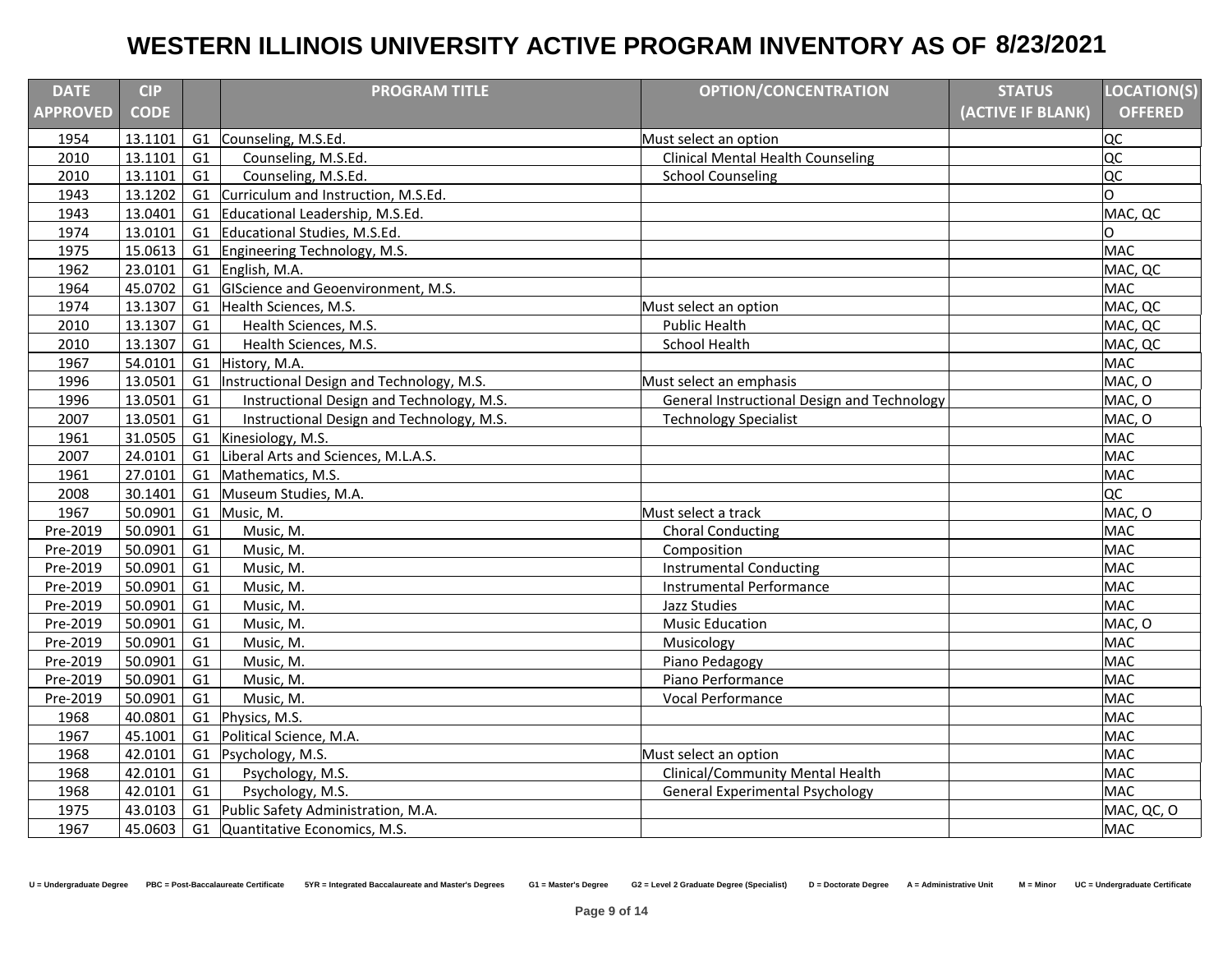| <b>DATE</b>     | <b>CIP</b>  |                | <b>PROGRAM TITLE</b>                      | <b>OPTION/CONCENTRATION</b>                 | <b>STATUS</b>     | <b>LOCATION(S)</b> |
|-----------------|-------------|----------------|-------------------------------------------|---------------------------------------------|-------------------|--------------------|
| <b>APPROVED</b> | <b>CODE</b> |                |                                           |                                             | (ACTIVE IF BLANK) | <b>OFFERED</b>     |
| 1954            | 13.1101     |                | G1 Counseling, M.S.Ed.                    | Must select an option                       |                   | lQC                |
| 2010            | 13.1101     | G1             | Counseling, M.S.Ed.                       | <b>Clinical Mental Health Counseling</b>    |                   | loc                |
| 2010            | 13.1101     | G1             | Counseling, M.S.Ed.                       | <b>School Counseling</b>                    |                   | loc                |
| 1943            | 13.1202     | G1             | Curriculum and Instruction, M.S.Ed.       |                                             |                   | O                  |
| 1943            | 13.0401     | G <sub>1</sub> | Educational Leadership, M.S.Ed.           |                                             |                   | MAC, QC            |
| 1974            | 13.0101     | G1             | Educational Studies, M.S.Ed.              |                                             |                   | 0                  |
| 1975            | 15.0613     | G1             | Engineering Technology, M.S.              |                                             |                   | <b>MAC</b>         |
| 1962            | 23.0101     | G1             | English, M.A.                             |                                             |                   | MAC, QC            |
| 1964            | 45.0702     | G1             | GIScience and Geoenvironment, M.S.        |                                             |                   | MAC                |
| 1974            | 13.1307     | G1             | Health Sciences, M.S.                     | Must select an option                       |                   | MAC, QC            |
| 2010            | 13.1307     | G <sub>1</sub> | Health Sciences, M.S.                     | <b>Public Health</b>                        |                   | MAC, QC            |
| 2010            | 13.1307     | G1             | Health Sciences, M.S.                     | <b>School Health</b>                        |                   | MAC, QC            |
| 1967            | 54.0101     |                | G1 History, M.A.                          |                                             |                   | <b>MAC</b>         |
| 1996            | 13.0501     | G1             | Instructional Design and Technology, M.S. | Must select an emphasis                     |                   | MAC, O             |
| 1996            | 13.0501     | G1             | Instructional Design and Technology, M.S. | General Instructional Design and Technology |                   | MAC, O             |
| 2007            | 13.0501     | G1             | Instructional Design and Technology, M.S. | <b>Technology Specialist</b>                |                   | MAC, O             |
| 1961            | 31.0505     | G1             | Kinesiology, M.S.                         |                                             |                   | <b>MAC</b>         |
| 2007            | 24.0101     | G1             | Liberal Arts and Sciences, M.L.A.S.       |                                             |                   | <b>MAC</b>         |
| 1961            | 27.0101     | G1             | Mathematics, M.S.                         |                                             |                   | <b>MAC</b>         |
| 2008            | 30.1401     | G1             | Museum Studies, M.A.                      |                                             |                   | <b>QC</b>          |
| 1967            | 50.0901     | G1             | Music, M.                                 | Must select a track                         |                   | MAC, O             |
| Pre-2019        | 50.0901     | G1             | Music, M.                                 | <b>Choral Conducting</b>                    |                   | <b>MAC</b>         |
| Pre-2019        | 50.0901     | G1             | Music, M.                                 | Composition                                 |                   | <b>MAC</b>         |
| Pre-2019        | 50.0901     | G <sub>1</sub> | Music, M.                                 | <b>Instrumental Conducting</b>              |                   | <b>MAC</b>         |
| Pre-2019        | 50.0901     | G1             | Music, M.                                 | <b>Instrumental Performance</b>             |                   | <b>MAC</b>         |
| Pre-2019        | 50.0901     | G <sub>1</sub> | Music, M.                                 | Jazz Studies                                |                   | <b>MAC</b>         |
| Pre-2019        | 50.0901     | G1             | Music, M.                                 | <b>Music Education</b>                      |                   | MAC, O             |
| Pre-2019        | 50.0901     | G1             | Music, M.                                 | Musicology                                  |                   | <b>MAC</b>         |
| Pre-2019        | 50.0901     | G1             | Music, M.                                 | Piano Pedagogy                              |                   | <b>MAC</b>         |
| Pre-2019        | 50.0901     | G1             | Music, M.                                 | Piano Performance                           |                   | <b>MAC</b>         |
| Pre-2019        | 50.0901     | G1             | Music, M.                                 | Vocal Performance                           |                   | <b>MAC</b>         |
| 1968            | 40.0801     | G1             | Physics, M.S.                             |                                             |                   | <b>MAC</b>         |
| 1967            | 45.1001     | G1             | Political Science, M.A.                   |                                             |                   | <b>MAC</b>         |
| 1968            | 42.0101     | G1             | Psychology, M.S.                          | Must select an option                       |                   | <b>MAC</b>         |
| 1968            | 42.0101     | G1             | Psychology, M.S.                          | Clinical/Community Mental Health            |                   | <b>MAC</b>         |
| 1968            | 42.0101     | G1             | Psychology, M.S.                          | <b>General Experimental Psychology</b>      |                   | <b>MAC</b>         |
| 1975            | 43.0103     | G1             | Public Safety Administration, M.A.        |                                             |                   | MAC, QC, O         |
| 1967            | 45.0603     |                | G1 Quantitative Economics, M.S.           |                                             |                   | <b>MAC</b>         |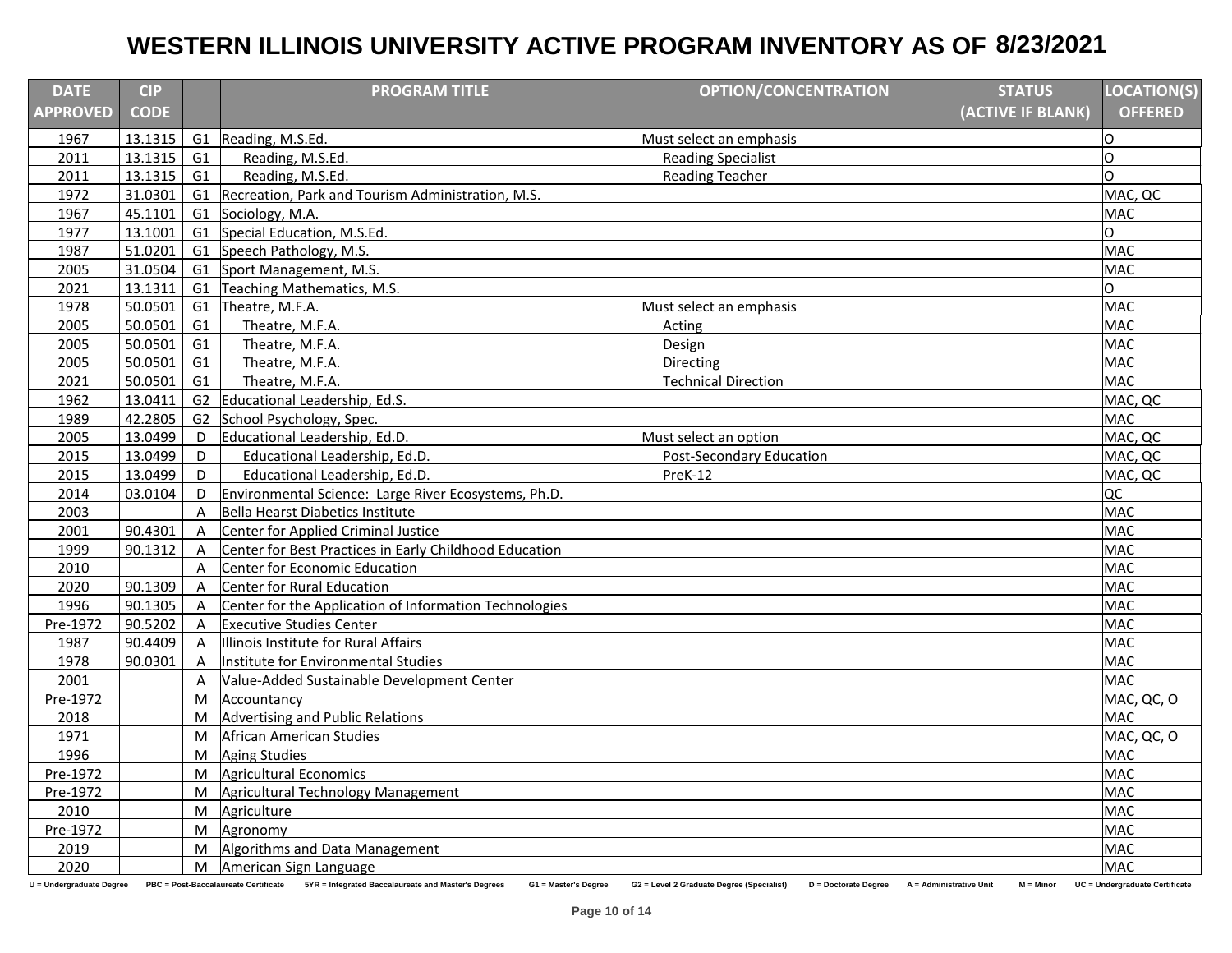| <b>DATE</b>              | <b>CIP</b>  |              | <b>PROGRAM TITLE</b>                                                                                             | <b>OPTION/CONCENTRATION</b>                                       | <b>STATUS</b>                          | <b>LOCATION(S)</b>             |
|--------------------------|-------------|--------------|------------------------------------------------------------------------------------------------------------------|-------------------------------------------------------------------|----------------------------------------|--------------------------------|
| <b>APPROVED</b>          | <b>CODE</b> |              |                                                                                                                  |                                                                   | (ACTIVE IF BLANK)                      | <b>OFFERED</b>                 |
| 1967                     | 13.1315     |              | G1 Reading, M.S.Ed.                                                                                              | Must select an emphasis                                           |                                        | lО                             |
| 2011                     | 13.1315     | G1           | Reading, M.S.Ed.                                                                                                 | <b>Reading Specialist</b>                                         |                                        | O                              |
| 2011                     | 13.1315     | G1           | Reading, M.S.Ed.                                                                                                 | <b>Reading Teacher</b>                                            |                                        | O                              |
| 1972                     | 31.0301     |              | G1 Recreation, Park and Tourism Administration, M.S.                                                             |                                                                   |                                        | MAC, QC                        |
| 1967                     | 45.1101     |              | G1 Sociology, M.A.                                                                                               |                                                                   |                                        | <b>MAC</b>                     |
| 1977                     | 13.1001     |              | G1 Special Education, M.S.Ed.                                                                                    |                                                                   |                                        | O                              |
| 1987                     | 51.0201     |              | G1 Speech Pathology, M.S.                                                                                        |                                                                   |                                        | <b>MAC</b>                     |
| 2005                     | 31.0504     |              | G1 Sport Management, M.S.                                                                                        |                                                                   |                                        | <b>MAC</b>                     |
| 2021                     | 13.1311     |              | G1 Teaching Mathematics, M.S.                                                                                    |                                                                   |                                        | O                              |
| 1978                     | 50.0501     |              | G1 Theatre, M.F.A.                                                                                               | Must select an emphasis                                           |                                        | <b>MAC</b>                     |
| 2005                     | 50.0501     | G1           | Theatre, M.F.A.                                                                                                  | Acting                                                            |                                        | <b>MAC</b>                     |
| 2005                     | 50.0501     | G1           | Theatre, M.F.A.                                                                                                  | Design                                                            |                                        | <b>MAC</b>                     |
| 2005                     | 50.0501     | G1           | Theatre, M.F.A.                                                                                                  | Directing                                                         |                                        | <b>MAC</b>                     |
| 2021                     | 50.0501     | G1           | Theatre, M.F.A.                                                                                                  | <b>Technical Direction</b>                                        |                                        | <b>MAC</b>                     |
| 1962                     | 13.0411     | G2           | Educational Leadership, Ed.S.                                                                                    |                                                                   |                                        | MAC, QC                        |
| 1989                     | 42.2805     | G2           | School Psychology, Spec.                                                                                         |                                                                   |                                        | <b>MAC</b>                     |
| 2005                     | 13.0499     | D            | Educational Leadership, Ed.D.                                                                                    | Must select an option                                             |                                        | MAC, QC                        |
| 2015                     | 13.0499     | D            | Educational Leadership, Ed.D.                                                                                    | <b>Post-Secondary Education</b>                                   |                                        | MAC, QC                        |
| 2015                     | 13.0499     | D            | Educational Leadership, Ed.D.                                                                                    | PreK-12                                                           |                                        | MAC, QC                        |
| 2014                     | 03.0104     | D            | Environmental Science: Large River Ecosystems, Ph.D.                                                             |                                                                   |                                        | QC                             |
| 2003                     |             | A            | Bella Hearst Diabetics Institute                                                                                 |                                                                   |                                        | <b>MAC</b>                     |
| 2001                     | 90.4301     | $\mathsf{A}$ | Center for Applied Criminal Justice                                                                              |                                                                   |                                        | <b>MAC</b>                     |
| 1999                     | 90.1312     | $\mathsf{A}$ | Center for Best Practices in Early Childhood Education                                                           |                                                                   |                                        | <b>MAC</b>                     |
| 2010                     |             | A            | Center for Economic Education                                                                                    |                                                                   |                                        | <b>MAC</b>                     |
| 2020                     | 90.1309     | $\mathsf{A}$ | Center for Rural Education                                                                                       |                                                                   |                                        | <b>MAC</b>                     |
| 1996                     | 90.1305     | $\mathsf{A}$ | Center for the Application of Information Technologies                                                           |                                                                   |                                        | <b>MAC</b>                     |
| Pre-1972                 | 90.5202     | A            | <b>Executive Studies Center</b>                                                                                  |                                                                   |                                        | <b>MAC</b>                     |
| 1987                     | 90.4409     | A            | Illinois Institute for Rural Affairs                                                                             |                                                                   |                                        | <b>MAC</b>                     |
| 1978                     | 90.0301     | A            | Institute for Environmental Studies                                                                              |                                                                   |                                        | <b>MAC</b>                     |
| 2001                     |             | A            | Value-Added Sustainable Development Center                                                                       |                                                                   |                                        | <b>MAC</b>                     |
| Pre-1972                 |             | M            | Accountancy                                                                                                      |                                                                   |                                        | MAC, QC, O                     |
| 2018                     |             | M            | Advertising and Public Relations                                                                                 |                                                                   |                                        | <b>MAC</b>                     |
| 1971                     |             | M            | African American Studies                                                                                         |                                                                   |                                        | MAC, QC, O                     |
| 1996                     |             | M            | <b>Aging Studies</b>                                                                                             |                                                                   |                                        | <b>MAC</b>                     |
| Pre-1972                 |             | M            | Agricultural Economics                                                                                           |                                                                   |                                        | <b>MAC</b>                     |
| Pre-1972                 |             | M            | Agricultural Technology Management                                                                               |                                                                   |                                        | <b>MAC</b>                     |
| 2010                     |             | M            | Agriculture                                                                                                      |                                                                   |                                        | <b>MAC</b>                     |
| Pre-1972                 |             | M            | Agronomy                                                                                                         |                                                                   |                                        | <b>MAC</b>                     |
| 2019                     |             | M            | Algorithms and Data Management                                                                                   |                                                                   |                                        | <b>MAC</b>                     |
| 2020                     |             | M            | American Sign Language                                                                                           |                                                                   |                                        | <b>MAC</b>                     |
| U = Undergraduate Degree |             |              | PBC = Post-Baccalaureate Certificate 5YR = Integrated Baccalaureate and Master's Degrees<br>G1 = Master's Degree | G2 = Level 2 Graduate Degree (Specialist)<br>D = Doctorate Degree | A = Administrative Unit<br>$M = Minor$ | UC = Undergraduate Certificate |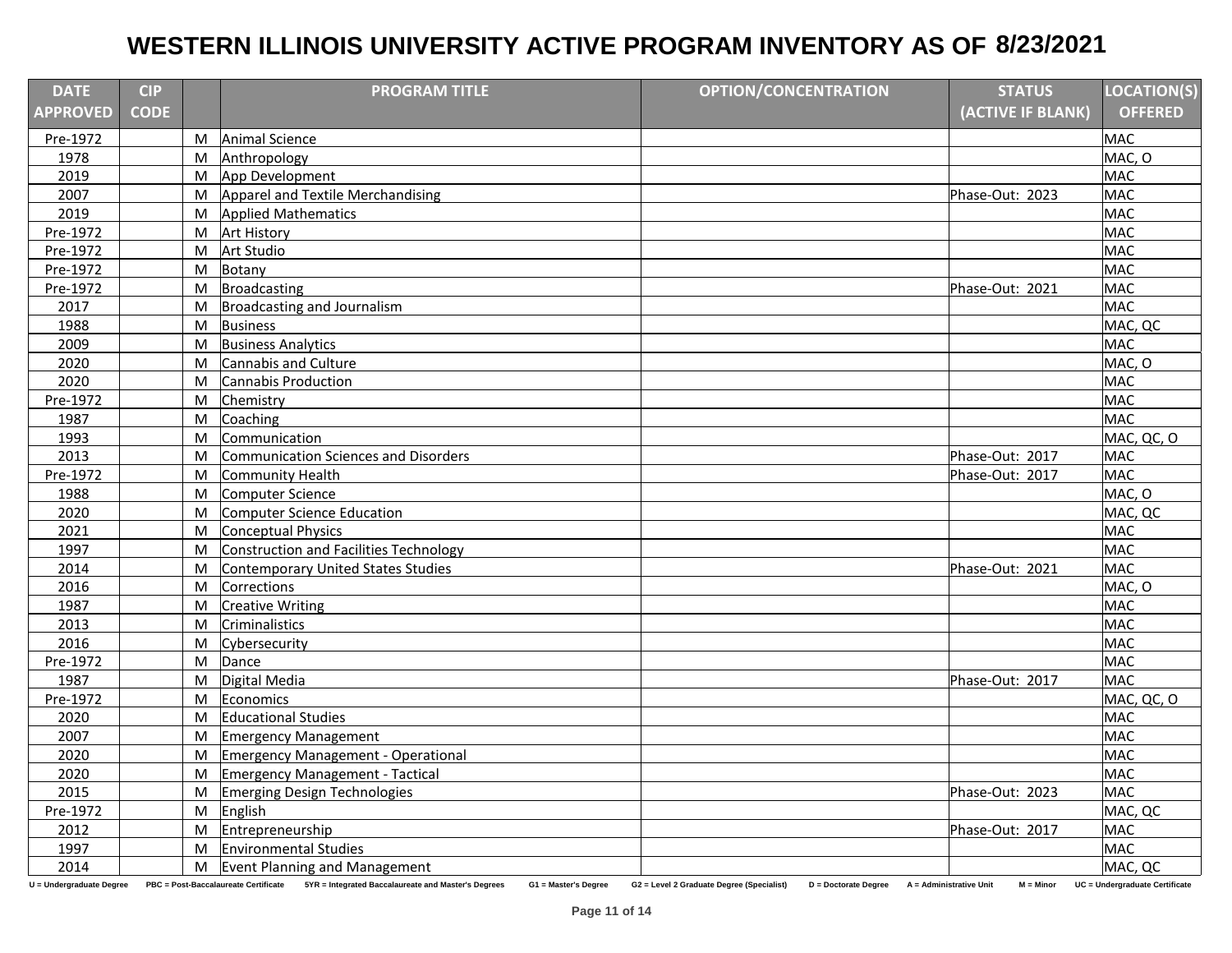| <b>DATE</b>              | <b>CIP</b>  |           | <b>PROGRAM TITLE</b>                                                                                             | <b>OPTION/CONCENTRATION</b>                                       | <b>STATUS</b>                          | <b>LOCATION(S)</b>             |
|--------------------------|-------------|-----------|------------------------------------------------------------------------------------------------------------------|-------------------------------------------------------------------|----------------------------------------|--------------------------------|
| <b>APPROVED</b>          | <b>CODE</b> |           |                                                                                                                  |                                                                   | (ACTIVE IF BLANK)                      | <b>OFFERED</b>                 |
| Pre-1972                 |             | M         | <b>Animal Science</b>                                                                                            |                                                                   |                                        | <b>MAC</b>                     |
| 1978                     |             | M         | Anthropology                                                                                                     |                                                                   |                                        | MAC, O                         |
| 2019                     |             | M         | App Development                                                                                                  |                                                                   |                                        | <b>MAC</b>                     |
| 2007                     |             | M         | Apparel and Textile Merchandising                                                                                |                                                                   | Phase-Out: 2023                        | <b>MAC</b>                     |
| 2019                     |             | M         | <b>Applied Mathematics</b>                                                                                       |                                                                   |                                        | <b>MAC</b>                     |
| Pre-1972                 |             | M         | <b>Art History</b>                                                                                               |                                                                   |                                        | <b>MAC</b>                     |
| Pre-1972                 |             | M         | Art Studio                                                                                                       |                                                                   |                                        | <b>MAC</b>                     |
| Pre-1972                 |             | M         | Botany                                                                                                           |                                                                   |                                        | <b>MAC</b>                     |
| Pre-1972                 |             | M         | Broadcasting                                                                                                     |                                                                   | Phase-Out: 2021                        | <b>MAC</b>                     |
| 2017                     |             | M         | Broadcasting and Journalism                                                                                      |                                                                   |                                        | <b>MAC</b>                     |
| 1988                     |             | M         | <b>Business</b>                                                                                                  |                                                                   |                                        | MAC, QC                        |
| 2009                     |             | M         | <b>Business Analytics</b>                                                                                        |                                                                   |                                        | <b>MAC</b>                     |
| 2020                     |             | M         | Cannabis and Culture                                                                                             |                                                                   |                                        | MAC, O                         |
| 2020                     |             | M         | Cannabis Production                                                                                              |                                                                   |                                        | <b>MAC</b>                     |
| Pre-1972                 |             | M         | Chemistry                                                                                                        |                                                                   |                                        | <b>MAC</b>                     |
| 1987                     |             | M         | Coaching                                                                                                         |                                                                   |                                        | <b>MAC</b>                     |
| 1993                     |             | M         | Communication                                                                                                    |                                                                   |                                        | MAC, QC, O                     |
| 2013                     |             | M         | Communication Sciences and Disorders                                                                             |                                                                   | Phase-Out: 2017                        | <b>MAC</b>                     |
| Pre-1972                 |             | M         | Community Health                                                                                                 |                                                                   | Phase-Out: 2017                        | <b>MAC</b>                     |
| 1988                     |             | M         | Computer Science                                                                                                 |                                                                   |                                        | MAC, O                         |
| 2020                     |             | M         | Computer Science Education                                                                                       |                                                                   |                                        | MAC, QC                        |
| 2021                     |             | M         | Conceptual Physics                                                                                               |                                                                   |                                        | <b>MAC</b>                     |
| 1997                     |             | M         | Construction and Facilities Technology                                                                           |                                                                   |                                        | <b>MAC</b>                     |
| 2014                     |             | M         | Contemporary United States Studies                                                                               |                                                                   | Phase-Out: 2021                        | <b>MAC</b>                     |
| 2016                     |             | M         | Corrections                                                                                                      |                                                                   |                                        | MAC, O                         |
| 1987                     |             | M         | <b>Creative Writing</b>                                                                                          |                                                                   |                                        | <b>MAC</b>                     |
| 2013                     |             | M         | Criminalistics                                                                                                   |                                                                   |                                        | <b>MAC</b>                     |
| 2016                     |             | M         | Cybersecurity                                                                                                    |                                                                   |                                        | <b>MAC</b>                     |
| Pre-1972                 |             | M         | Dance                                                                                                            |                                                                   |                                        | <b>MAC</b>                     |
| 1987                     |             | M         | Digital Media                                                                                                    |                                                                   | Phase-Out: 2017                        | <b>MAC</b>                     |
| Pre-1972                 |             | M         | Economics                                                                                                        |                                                                   |                                        | MAC, QC, O                     |
| 2020                     |             | M         | <b>Educational Studies</b>                                                                                       |                                                                   |                                        | <b>MAC</b>                     |
| 2007                     |             | M         | <b>Emergency Management</b>                                                                                      |                                                                   |                                        | <b>MAC</b>                     |
| 2020                     |             | M         | Emergency Management - Operational                                                                               |                                                                   |                                        | <b>MAC</b>                     |
| 2020                     |             | M         | Emergency Management - Tactical                                                                                  |                                                                   |                                        | <b>MAC</b>                     |
| 2015                     |             | M         | Emerging Design Technologies                                                                                     |                                                                   | Phase-Out: 2023                        | <b>MAC</b>                     |
| Pre-1972                 |             | ${\sf M}$ | English                                                                                                          |                                                                   |                                        | MAC, QC                        |
| 2012                     |             | M         | Entrepreneurship                                                                                                 |                                                                   | Phase-Out: 2017                        | <b>MAC</b>                     |
| 1997                     |             | M         | <b>Environmental Studies</b>                                                                                     |                                                                   |                                        | <b>MAC</b>                     |
| 2014                     |             |           | M Event Planning and Management                                                                                  |                                                                   |                                        | MAC, QC                        |
| U = Undergraduate Degree |             |           | PBC = Post-Baccalaureate Certificate 5YR = Integrated Baccalaureate and Master's Degrees<br>G1 = Master's Degree | G2 = Level 2 Graduate Degree (Specialist)<br>D = Doctorate Degree | A = Administrative Unit<br>$M = Minor$ | UC = Undergraduate Certificate |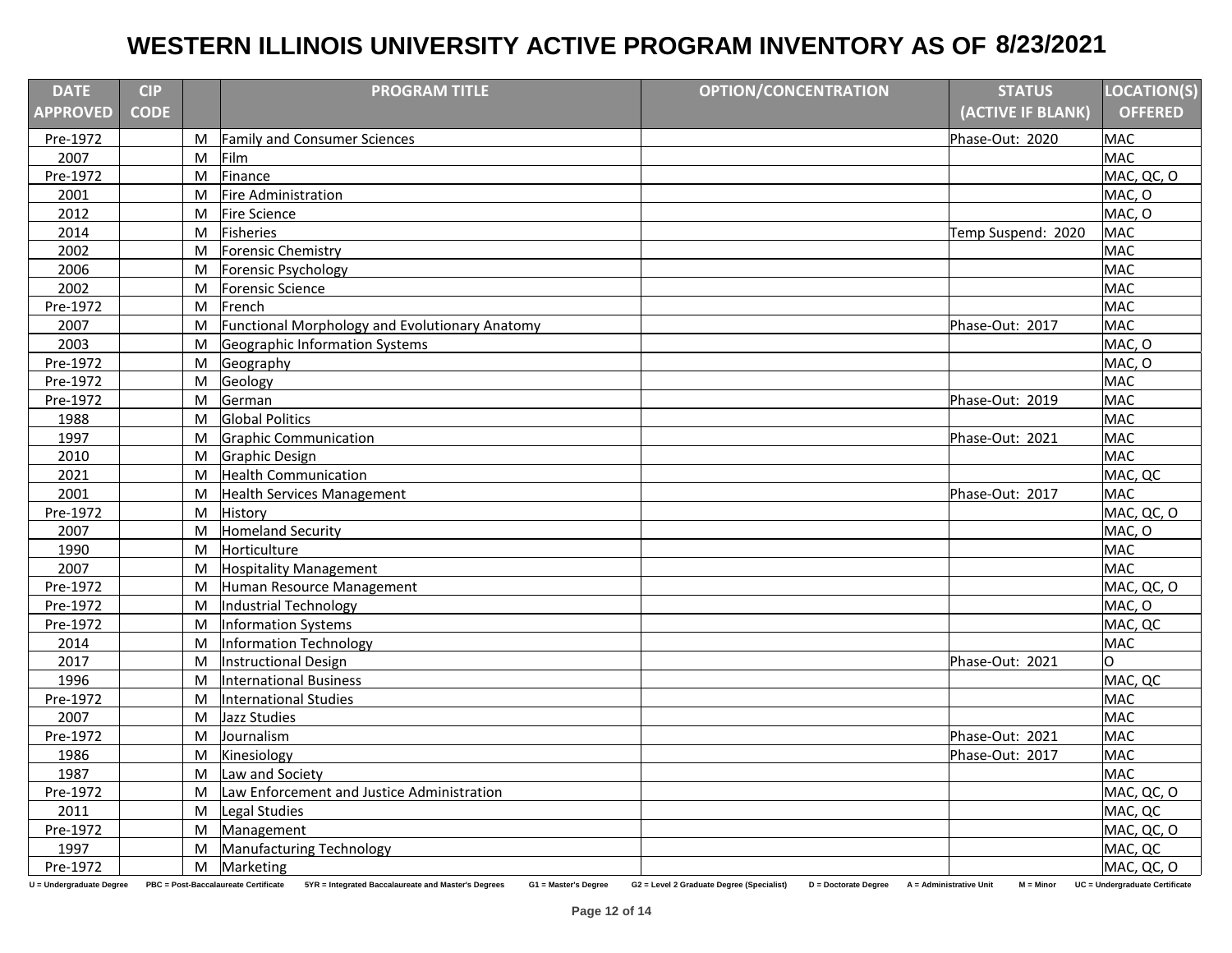| <b>DATE</b>              | <b>CIP</b>  |           | <b>PROGRAM TITLE</b>                                                                                                | <b>OPTION/CONCENTRATION</b>                                       | <b>STATUS</b>                          | LOCATION(S)                    |
|--------------------------|-------------|-----------|---------------------------------------------------------------------------------------------------------------------|-------------------------------------------------------------------|----------------------------------------|--------------------------------|
| <b>APPROVED</b>          | <b>CODE</b> |           |                                                                                                                     |                                                                   | (ACTIVE IF BLANK)                      | <b>OFFERED</b>                 |
| Pre-1972                 |             | M         | <b>Family and Consumer Sciences</b>                                                                                 |                                                                   | Phase-Out: 2020                        | <b>MAC</b>                     |
| 2007                     |             | M         | Film                                                                                                                |                                                                   |                                        | MAC                            |
| Pre-1972                 |             | M         | Finance                                                                                                             |                                                                   |                                        | MAC, QC, O                     |
| 2001                     |             | M         | <b>Fire Administration</b>                                                                                          |                                                                   |                                        | MAC, O                         |
| 2012                     |             | M         | Fire Science                                                                                                        |                                                                   |                                        | MAC, O                         |
| 2014                     |             | M         | Fisheries                                                                                                           |                                                                   | Temp Suspend: 2020                     | <b>MAC</b>                     |
| 2002                     |             | M         | Forensic Chemistry                                                                                                  |                                                                   |                                        | <b>MAC</b>                     |
| 2006                     |             | M         | Forensic Psychology                                                                                                 |                                                                   |                                        | <b>MAC</b>                     |
| 2002                     |             | M         | Forensic Science                                                                                                    |                                                                   |                                        | <b>MAC</b>                     |
| Pre-1972                 |             | M         | French                                                                                                              |                                                                   |                                        | <b>MAC</b>                     |
| 2007                     |             | M         | Functional Morphology and Evolutionary Anatomy                                                                      |                                                                   | Phase-Out: 2017                        | <b>MAC</b>                     |
| 2003                     |             | M         | Geographic Information Systems                                                                                      |                                                                   |                                        | MAC, O                         |
| Pre-1972                 |             | M         | Geography                                                                                                           |                                                                   |                                        | MAC, O                         |
| Pre-1972                 |             | ${\sf M}$ | Geology                                                                                                             |                                                                   |                                        | <b>MAC</b>                     |
| Pre-1972                 |             | M         | German                                                                                                              |                                                                   | Phase-Out: 2019                        | <b>MAC</b>                     |
| 1988                     |             | M         | <b>Global Politics</b>                                                                                              |                                                                   |                                        | <b>MAC</b>                     |
| 1997                     |             | M         | Graphic Communication                                                                                               |                                                                   | Phase-Out: 2021                        | <b>MAC</b>                     |
| 2010                     |             | M         | <b>Graphic Design</b>                                                                                               |                                                                   |                                        | <b>MAC</b>                     |
| 2021                     |             | M         | <b>Health Communication</b>                                                                                         |                                                                   |                                        | MAC, QC                        |
| 2001                     |             | M         | Health Services Management                                                                                          |                                                                   | Phase-Out: 2017                        | <b>MAC</b>                     |
| Pre-1972                 |             | M         | History                                                                                                             |                                                                   |                                        | MAC, QC, O                     |
| 2007                     |             | M         | <b>Homeland Security</b>                                                                                            |                                                                   |                                        | MAC, O                         |
| 1990                     |             | M         | Horticulture                                                                                                        |                                                                   |                                        | <b>MAC</b>                     |
| 2007                     |             | M         | <b>Hospitality Management</b>                                                                                       |                                                                   |                                        | <b>MAC</b>                     |
| Pre-1972                 |             | M         | Human Resource Management                                                                                           |                                                                   |                                        | MAC, QC, O                     |
| Pre-1972                 |             | M         | Industrial Technology                                                                                               |                                                                   |                                        | MAC, O                         |
| Pre-1972                 |             | M         | Information Systems                                                                                                 |                                                                   |                                        | MAC, QC                        |
| 2014                     |             | M         | Information Technology                                                                                              |                                                                   |                                        | <b>MAC</b>                     |
| 2017                     |             | M         | Instructional Design                                                                                                |                                                                   | Phase-Out: 2021                        | lO.                            |
| 1996                     |             | M         | International Business                                                                                              |                                                                   |                                        | MAC, QC                        |
| Pre-1972                 |             | M         | International Studies                                                                                               |                                                                   |                                        | <b>MAC</b>                     |
| 2007                     |             | M         | Jazz Studies                                                                                                        |                                                                   |                                        | <b>MAC</b>                     |
| Pre-1972                 |             | M         | Journalism                                                                                                          |                                                                   | Phase-Out: 2021                        | <b>MAC</b>                     |
| 1986                     |             | M         | Kinesiology                                                                                                         |                                                                   | Phase-Out: 2017                        | <b>MAC</b>                     |
| 1987                     |             | M         | Law and Society                                                                                                     |                                                                   |                                        | <b>MAC</b>                     |
| Pre-1972                 |             | M         | Law Enforcement and Justice Administration                                                                          |                                                                   |                                        | MAC, QC, O                     |
| 2011                     |             | ${\sf M}$ | Legal Studies                                                                                                       |                                                                   |                                        | MAC, QC                        |
| Pre-1972                 |             | M         | Management                                                                                                          |                                                                   |                                        | MAC, QC, O                     |
| 1997                     |             | M         | <b>Manufacturing Technology</b>                                                                                     |                                                                   |                                        | MAC, QC                        |
| Pre-1972                 |             |           | M Marketing                                                                                                         |                                                                   |                                        | MAC, QC, O                     |
| U = Undergraduate Degree |             |           | PBC = Post-Baccalaureate Certificate<br>5YR = Integrated Baccalaureate and Master's Degrees<br>G1 = Master's Degree | G2 = Level 2 Graduate Degree (Specialist)<br>D = Doctorate Degree | A = Administrative Unit<br>$M = Minor$ | UC = Undergraduate Certificate |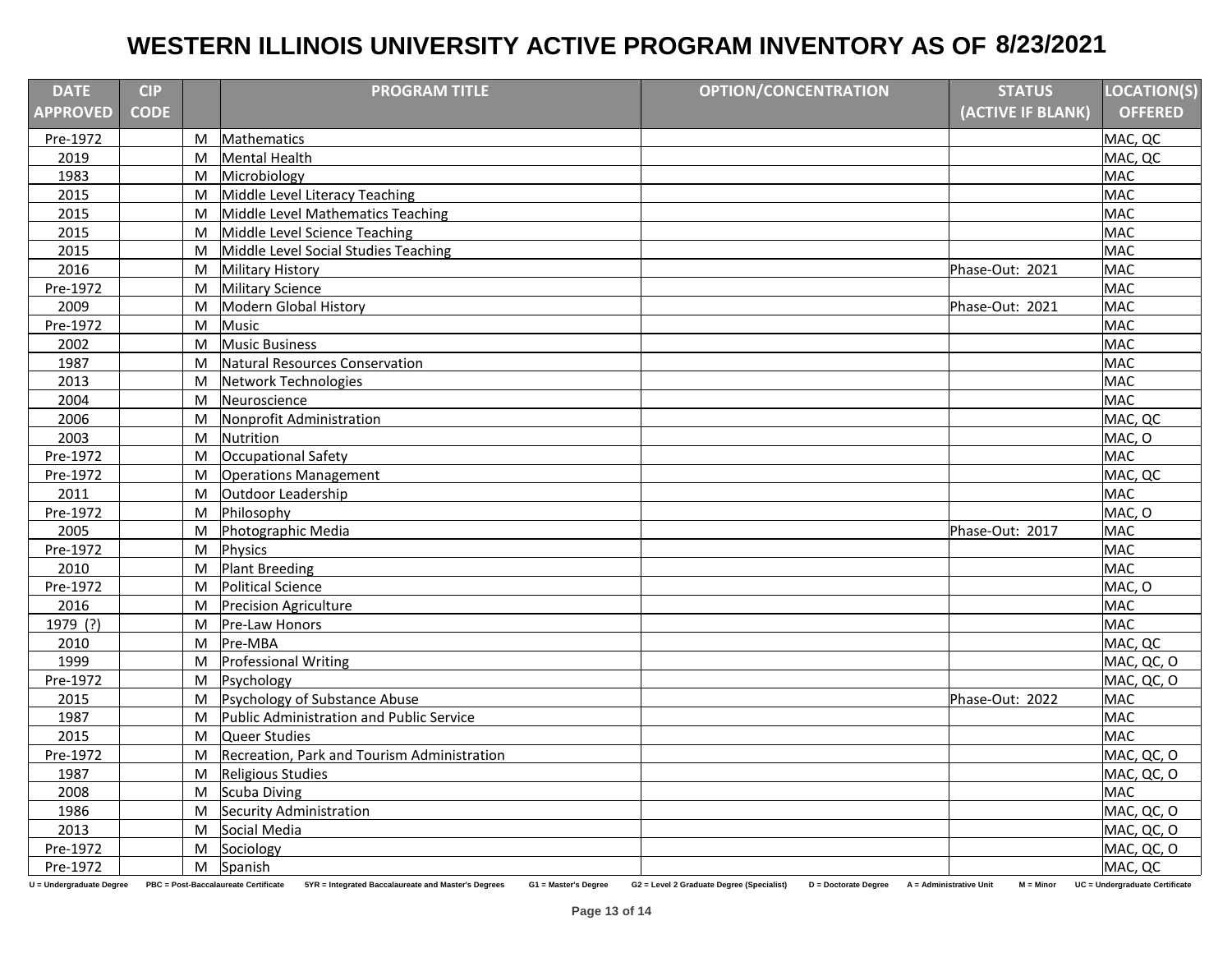| <b>DATE</b>                                                                                                                                                                                                                                                                                      | <b>CIP</b>  |           | <b>PROGRAM TITLE</b>                        | <b>OPTION/CONCENTRATION</b> | <b>STATUS</b>     | <b>LOCATION(S)</b> |  |
|--------------------------------------------------------------------------------------------------------------------------------------------------------------------------------------------------------------------------------------------------------------------------------------------------|-------------|-----------|---------------------------------------------|-----------------------------|-------------------|--------------------|--|
| <b>APPROVED</b>                                                                                                                                                                                                                                                                                  | <b>CODE</b> |           |                                             |                             | (ACTIVE IF BLANK) | <b>OFFERED</b>     |  |
| Pre-1972                                                                                                                                                                                                                                                                                         |             | M         | Mathematics                                 |                             |                   | MAC, QC            |  |
| 2019                                                                                                                                                                                                                                                                                             |             | M         | <b>Mental Health</b>                        |                             |                   | MAC, QC            |  |
| 1983                                                                                                                                                                                                                                                                                             |             | M         | Microbiology                                |                             |                   | <b>MAC</b>         |  |
| 2015                                                                                                                                                                                                                                                                                             |             | M         | Middle Level Literacy Teaching              |                             |                   | <b>MAC</b>         |  |
| 2015                                                                                                                                                                                                                                                                                             |             | M         | Middle Level Mathematics Teaching           |                             |                   | <b>MAC</b>         |  |
| 2015                                                                                                                                                                                                                                                                                             |             | M         | Middle Level Science Teaching               |                             |                   | <b>MAC</b>         |  |
| 2015                                                                                                                                                                                                                                                                                             |             | M         | Middle Level Social Studies Teaching        |                             |                   | <b>MAC</b>         |  |
| 2016                                                                                                                                                                                                                                                                                             |             | M         | <b>Military History</b>                     |                             | Phase-Out: 2021   | <b>MAC</b>         |  |
| Pre-1972                                                                                                                                                                                                                                                                                         |             | M         | Military Science                            |                             |                   | <b>MAC</b>         |  |
| 2009                                                                                                                                                                                                                                                                                             |             | M         | Modern Global History                       |                             | Phase-Out: 2021   | <b>MAC</b>         |  |
| Pre-1972                                                                                                                                                                                                                                                                                         |             | M         | <b>Music</b>                                |                             |                   | <b>MAC</b>         |  |
| 2002                                                                                                                                                                                                                                                                                             |             | M         | <b>Music Business</b>                       |                             |                   | <b>MAC</b>         |  |
| 1987                                                                                                                                                                                                                                                                                             |             | M         | Natural Resources Conservation              |                             |                   | <b>MAC</b>         |  |
| 2013                                                                                                                                                                                                                                                                                             |             | M         | Network Technologies                        |                             |                   | <b>MAC</b>         |  |
| 2004                                                                                                                                                                                                                                                                                             |             | M         | Neuroscience                                |                             |                   | <b>MAC</b>         |  |
| 2006                                                                                                                                                                                                                                                                                             |             | M         | Nonprofit Administration                    |                             |                   | MAC, QC            |  |
| 2003                                                                                                                                                                                                                                                                                             |             | M         | Nutrition                                   |                             |                   | MAC, O             |  |
| Pre-1972                                                                                                                                                                                                                                                                                         |             | M         | Occupational Safety                         |                             |                   | <b>MAC</b>         |  |
| Pre-1972                                                                                                                                                                                                                                                                                         |             | M         | <b>Operations Management</b>                |                             |                   | MAC, QC            |  |
| 2011                                                                                                                                                                                                                                                                                             |             | M         | Outdoor Leadership                          |                             |                   | <b>MAC</b>         |  |
| Pre-1972                                                                                                                                                                                                                                                                                         |             | ${\sf M}$ | Philosophy                                  |                             |                   | MAC, O             |  |
| 2005                                                                                                                                                                                                                                                                                             |             | M         | Photographic Media                          |                             | Phase-Out: 2017   | <b>MAC</b>         |  |
| Pre-1972                                                                                                                                                                                                                                                                                         |             | M         | Physics                                     |                             |                   | <b>MAC</b>         |  |
| 2010                                                                                                                                                                                                                                                                                             |             | M         | <b>Plant Breeding</b>                       |                             |                   | <b>MAC</b>         |  |
| Pre-1972                                                                                                                                                                                                                                                                                         |             | M         | Political Science                           |                             |                   | MAC, O             |  |
| 2016                                                                                                                                                                                                                                                                                             |             | M         | <b>Precision Agriculture</b>                |                             |                   | <b>MAC</b>         |  |
| 1979 (?)                                                                                                                                                                                                                                                                                         |             | M         | Pre-Law Honors                              |                             |                   | <b>MAC</b>         |  |
| 2010                                                                                                                                                                                                                                                                                             |             | M         | Pre-MBA                                     |                             |                   | MAC, QC            |  |
| 1999                                                                                                                                                                                                                                                                                             |             | M         | Professional Writing                        |                             |                   | MAC, QC, O         |  |
| Pre-1972                                                                                                                                                                                                                                                                                         |             | ${\sf M}$ | Psychology                                  |                             |                   | MAC, QC, O         |  |
| 2015                                                                                                                                                                                                                                                                                             |             | M         | Psychology of Substance Abuse               |                             | Phase-Out: 2022   | MAC                |  |
| 1987                                                                                                                                                                                                                                                                                             |             | M         | Public Administration and Public Service    |                             |                   | <b>MAC</b>         |  |
| 2015                                                                                                                                                                                                                                                                                             |             | M         | Queer Studies                               |                             |                   | <b>MAC</b>         |  |
| Pre-1972                                                                                                                                                                                                                                                                                         |             | M         | Recreation, Park and Tourism Administration |                             |                   | MAC, QC, O         |  |
| 1987                                                                                                                                                                                                                                                                                             |             | M         | Religious Studies                           |                             |                   | MAC, QC, O         |  |
| 2008                                                                                                                                                                                                                                                                                             |             | M         | Scuba Diving                                |                             |                   | <b>MAC</b>         |  |
| 1986                                                                                                                                                                                                                                                                                             |             | M         | Security Administration                     |                             |                   | MAC, QC, O         |  |
| 2013                                                                                                                                                                                                                                                                                             |             | M         | Social Media                                |                             |                   | MAC, QC, O         |  |
| Pre-1972                                                                                                                                                                                                                                                                                         |             | M         | Sociology                                   |                             |                   | MAC, QC, O         |  |
| Pre-1972                                                                                                                                                                                                                                                                                         |             |           | M Spanish                                   |                             |                   | MAC, QC            |  |
| 5YR = Integrated Baccalaureate and Master's Degrees<br>U = Undergraduate Degree<br>PBC = Post-Baccalaureate Certificate<br>G1 = Master's Degree<br>G2 = Level 2 Graduate Degree (Specialist)<br>D = Doctorate Degree<br>A = Administrative Unit<br>$M = Minor$<br>UC = Undergraduate Certificate |             |           |                                             |                             |                   |                    |  |